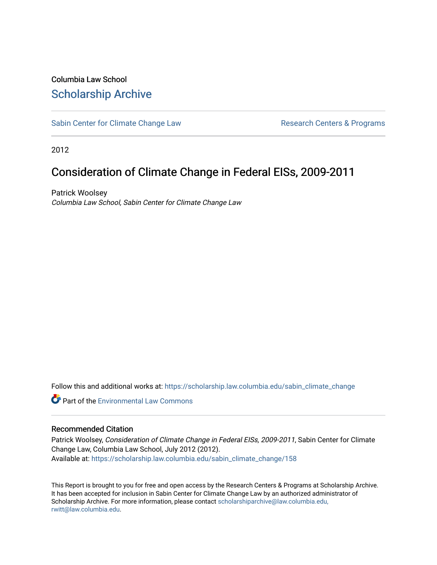# Columbia Law School [Scholarship Archive](https://scholarship.law.columbia.edu/)

[Sabin Center for Climate Change Law](https://scholarship.law.columbia.edu/sabin_climate_change) Research Centers & Programs

2012

# Consideration of Climate Change in Federal EISs, 2009-2011

Patrick Woolsey Columbia Law School, Sabin Center for Climate Change Law

Follow this and additional works at: [https://scholarship.law.columbia.edu/sabin\\_climate\\_change](https://scholarship.law.columbia.edu/sabin_climate_change?utm_source=scholarship.law.columbia.edu%2Fsabin_climate_change%2F158&utm_medium=PDF&utm_campaign=PDFCoverPages) 

**C** Part of the [Environmental Law Commons](http://network.bepress.com/hgg/discipline/599?utm_source=scholarship.law.columbia.edu%2Fsabin_climate_change%2F158&utm_medium=PDF&utm_campaign=PDFCoverPages)

#### Recommended Citation

Patrick Woolsey, Consideration of Climate Change in Federal EISs, 2009-2011, Sabin Center for Climate Change Law, Columbia Law School, July 2012 (2012). Available at: [https://scholarship.law.columbia.edu/sabin\\_climate\\_change/158](https://scholarship.law.columbia.edu/sabin_climate_change/158?utm_source=scholarship.law.columbia.edu%2Fsabin_climate_change%2F158&utm_medium=PDF&utm_campaign=PDFCoverPages) 

This Report is brought to you for free and open access by the Research Centers & Programs at Scholarship Archive. It has been accepted for inclusion in Sabin Center for Climate Change Law by an authorized administrator of Scholarship Archive. For more information, please contact [scholarshiparchive@law.columbia.edu,](mailto:scholarshiparchive@law.columbia.edu,%20rwitt@law.columbia.edu) [rwitt@law.columbia.edu.](mailto:scholarshiparchive@law.columbia.edu,%20rwitt@law.columbia.edu)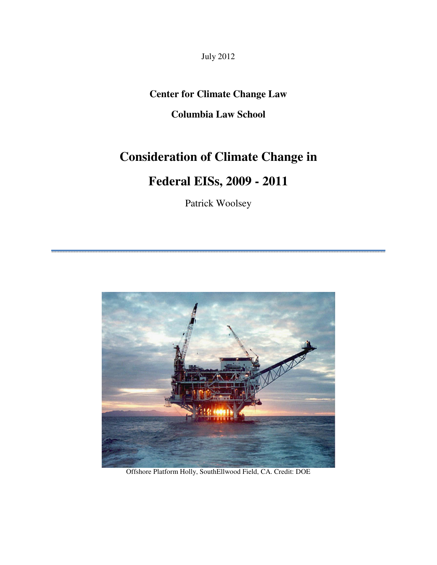July 2012

# **Center for Climate Change Law**

# **Columbia Law School**

# **Consideration of Climate Change in**

# **Federal EISs, 2009 - 2011**

Patrick Woolsey



Offshore Platform Holly, SouthEllwood Field, CA. Credit: DOE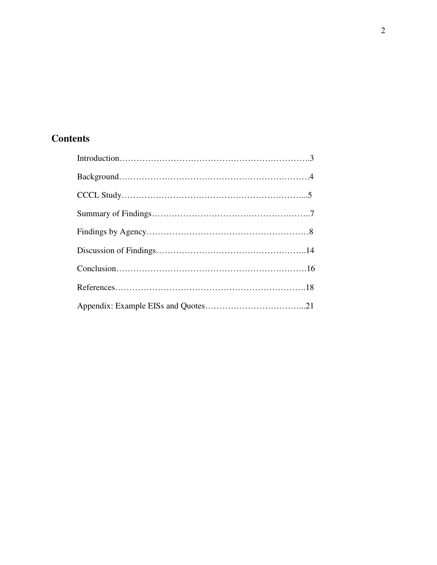# **Contents**

| $\text{CCCL Study} \dots$ |  |
|---------------------------|--|
|                           |  |
|                           |  |
|                           |  |
|                           |  |
|                           |  |
|                           |  |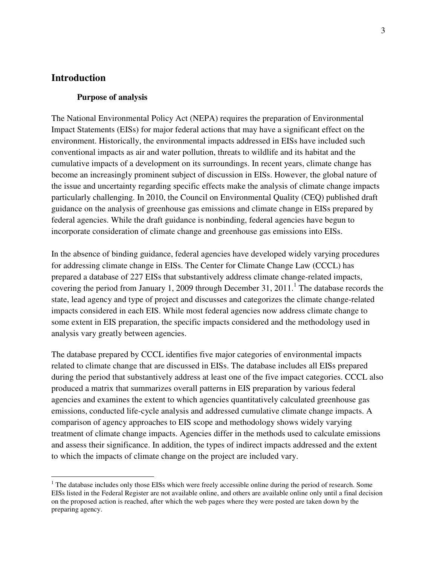## **Introduction**

 $\overline{a}$ 

#### **Purpose of analysis**

The National Environmental Policy Act (NEPA) requires the preparation of Environmental Impact Statements (EISs) for major federal actions that may have a significant effect on the environment. Historically, the environmental impacts addressed in EISs have included such conventional impacts as air and water pollution, threats to wildlife and its habitat and the cumulative impacts of a development on its surroundings. In recent years, climate change has become an increasingly prominent subject of discussion in EISs. However, the global nature of the issue and uncertainty regarding specific effects make the analysis of climate change impacts particularly challenging. In 2010, the Council on Environmental Quality (CEQ) published draft guidance on the analysis of greenhouse gas emissions and climate change in EISs prepared by federal agencies. While the draft guidance is nonbinding, federal agencies have begun to incorporate consideration of climate change and greenhouse gas emissions into EISs.

In the absence of binding guidance, federal agencies have developed widely varying procedures for addressing climate change in EISs. The Center for Climate Change Law (CCCL) has prepared a database of 227 EISs that substantively address climate change-related impacts, covering the period from January 1, 2009 through December 31,  $2011$ .<sup>1</sup> The database records the state, lead agency and type of project and discusses and categorizes the climate change-related impacts considered in each EIS. While most federal agencies now address climate change to some extent in EIS preparation, the specific impacts considered and the methodology used in analysis vary greatly between agencies.

The database prepared by CCCL identifies five major categories of environmental impacts related to climate change that are discussed in EISs. The database includes all EISs prepared during the period that substantively address at least one of the five impact categories. CCCL also produced a matrix that summarizes overall patterns in EIS preparation by various federal agencies and examines the extent to which agencies quantitatively calculated greenhouse gas emissions, conducted life-cycle analysis and addressed cumulative climate change impacts. A comparison of agency approaches to EIS scope and methodology shows widely varying treatment of climate change impacts. Agencies differ in the methods used to calculate emissions and assess their significance. In addition, the types of indirect impacts addressed and the extent to which the impacts of climate change on the project are included vary.

<sup>&</sup>lt;sup>1</sup> The database includes only those EISs which were freely accessible online during the period of research. Some EISs listed in the Federal Register are not available online, and others are available online only until a final decision on the proposed action is reached, after which the web pages where they were posted are taken down by the preparing agency.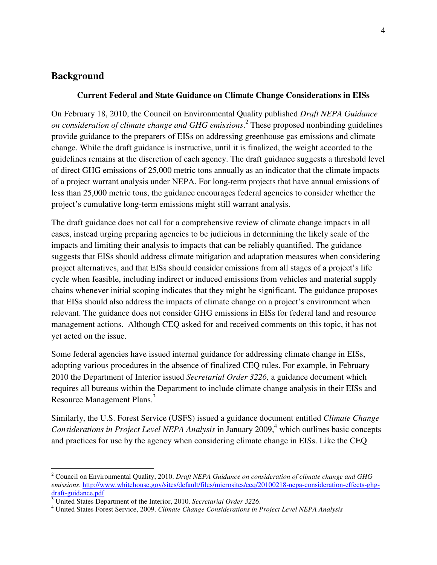# **Background**

#### **Current Federal and State Guidance on Climate Change Considerations in EISs**

On February 18, 2010, the Council on Environmental Quality published *Draft NEPA Guidance on consideration of climate change and GHG emissions*. 2 These proposed nonbinding guidelines provide guidance to the preparers of EISs on addressing greenhouse gas emissions and climate change. While the draft guidance is instructive, until it is finalized, the weight accorded to the guidelines remains at the discretion of each agency. The draft guidance suggests a threshold level of direct GHG emissions of 25,000 metric tons annually as an indicator that the climate impacts of a project warrant analysis under NEPA. For long-term projects that have annual emissions of less than 25,000 metric tons, the guidance encourages federal agencies to consider whether the project's cumulative long-term emissions might still warrant analysis.

The draft guidance does not call for a comprehensive review of climate change impacts in all cases, instead urging preparing agencies to be judicious in determining the likely scale of the impacts and limiting their analysis to impacts that can be reliably quantified. The guidance suggests that EISs should address climate mitigation and adaptation measures when considering project alternatives, and that EISs should consider emissions from all stages of a project's life cycle when feasible, including indirect or induced emissions from vehicles and material supply chains whenever initial scoping indicates that they might be significant. The guidance proposes that EISs should also address the impacts of climate change on a project's environment when relevant. The guidance does not consider GHG emissions in EISs for federal land and resource management actions. Although CEQ asked for and received comments on this topic, it has not yet acted on the issue.

Some federal agencies have issued internal guidance for addressing climate change in EISs, adopting various procedures in the absence of finalized CEQ rules. For example, in February 2010 the Department of Interior issued *Secretarial Order 3226,* a guidance document which requires all bureaus within the Department to include climate change analysis in their EISs and Resource Management Plans.<sup>3</sup>

Similarly, the U.S. Forest Service (USFS) issued a guidance document entitled *Climate Change*  Considerations in Project Level NEPA Analysis in January 2009,<sup>4</sup> which outlines basic concepts and practices for use by the agency when considering climate change in EISs. Like the CEQ

 2 Council on Environmental Quality, 2010. *Draft NEPA Guidance on consideration of climate change and GHG emissions*. http://www.whitehouse.gov/sites/default/files/microsites/ceq/20100218-nepa-consideration-effects-ghg-

draft-guidance.pdf 3 United States Department of the Interior, 2010. *Secretarial Order 3226*.

<sup>4</sup> United States Forest Service, 2009. *Climate Change Considerations in Project Level NEPA Analysis*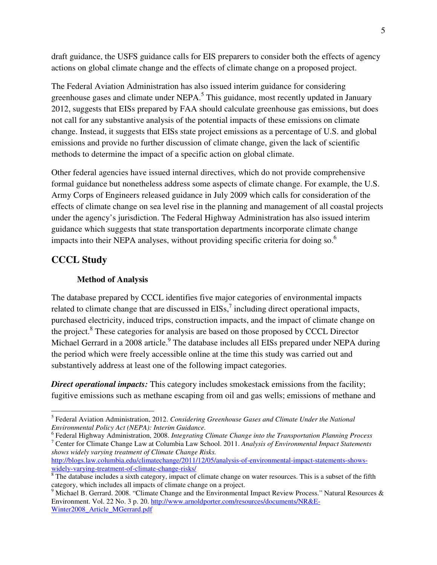draft guidance, the USFS guidance calls for EIS preparers to consider both the effects of agency actions on global climate change and the effects of climate change on a proposed project.

The Federal Aviation Administration has also issued interim guidance for considering greenhouse gases and climate under NEPA.<sup>5</sup> This guidance, most recently updated in January 2012, suggests that EISs prepared by FAA should calculate greenhouse gas emissions, but does not call for any substantive analysis of the potential impacts of these emissions on climate change. Instead, it suggests that EISs state project emissions as a percentage of U.S. and global emissions and provide no further discussion of climate change, given the lack of scientific methods to determine the impact of a specific action on global climate.

Other federal agencies have issued internal directives, which do not provide comprehensive formal guidance but nonetheless address some aspects of climate change. For example, the U.S. Army Corps of Engineers released guidance in July 2009 which calls for consideration of the effects of climate change on sea level rise in the planning and management of all coastal projects under the agency's jurisdiction. The Federal Highway Administration has also issued interim guidance which suggests that state transportation departments incorporate climate change impacts into their NEPA analyses, without providing specific criteria for doing so.<sup>6</sup>

# **CCCL Study**

 $\overline{a}$ 

#### **Method of Analysis**

The database prepared by CCCL identifies five major categories of environmental impacts related to climate change that are discussed in  $EISs$ ,<sup>7</sup> including direct operational impacts, purchased electricity, induced trips, construction impacts, and the impact of climate change on the project.<sup>8</sup> These categories for analysis are based on those proposed by CCCL Director Michael Gerrard in a 2008 article.<sup>9</sup> The database includes all EISs prepared under NEPA during the period which were freely accessible online at the time this study was carried out and substantively address at least one of the following impact categories.

**Direct operational impacts:** This category includes smokestack emissions from the facility; fugitive emissions such as methane escaping from oil and gas wells; emissions of methane and

<sup>5</sup> Federal Aviation Administration, 2012. *Considering Greenhouse Gases and Climate Under the National Environmental Policy Act (NEPA): Interim Guidance.* 

<sup>6</sup> Federal Highway Administration, 2008. *Integrating Climate Change into the Transportation Planning Process* 7 Center for Climate Change Law at Columbia Law School. 2011. *Analysis of Environmental Impact Statements shows widely varying treatment of Climate Change Risks.* 

http://blogs.law.columbia.edu/climatechange/2011/12/05/analysis-of-environmental-impact-statements-showswidely-varying-treatment-of-climate-change-risks/

 $8$  The database includes a sixth category, impact of climate change on water resources. This is a subset of the fifth

category, which includes all impacts of climate change on a project. 9 Michael B. Gerrard. 2008. "Climate Change and the Environmental Impact Review Process." Natural Resources & Environment. Vol. 22 No. 3 p. 20. http://www.arnoldporter.com/resources/documents/NR&E-Winter2008\_Article\_MGerrard.pdf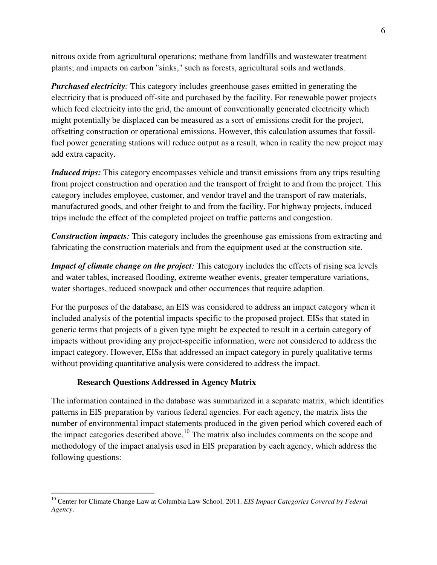nitrous oxide from agricultural operations; methane from landfills and wastewater treatment plants; and impacts on carbon "sinks," such as forests, agricultural soils and wetlands.

*Purchased electricity:* This category includes greenhouse gases emitted in generating the electricity that is produced off-site and purchased by the facility. For renewable power projects which feed electricity into the grid, the amount of conventionally generated electricity which might potentially be displaced can be measured as a sort of emissions credit for the project, offsetting construction or operational emissions. However, this calculation assumes that fossilfuel power generating stations will reduce output as a result, when in reality the new project may add extra capacity.

*Induced trips:* This category encompasses vehicle and transit emissions from any trips resulting from project construction and operation and the transport of freight to and from the project. This category includes employee, customer, and vendor travel and the transport of raw materials, manufactured goods, and other freight to and from the facility. For highway projects, induced trips include the effect of the completed project on traffic patterns and congestion.

*Construction impacts:* This category includes the greenhouse gas emissions from extracting and fabricating the construction materials and from the equipment used at the construction site.

*Impact of climate change on the project*: This category includes the effects of rising sea levels and water tables, increased flooding, extreme weather events, greater temperature variations, water shortages, reduced snowpack and other occurrences that require adaption.

For the purposes of the database, an EIS was considered to address an impact category when it included analysis of the potential impacts specific to the proposed project. EISs that stated in generic terms that projects of a given type might be expected to result in a certain category of impacts without providing any project-specific information, were not considered to address the impact category. However, EISs that addressed an impact category in purely qualitative terms without providing quantitative analysis were considered to address the impact.

# **Research Questions Addressed in Agency Matrix**

 $\overline{a}$ 

The information contained in the database was summarized in a separate matrix, which identifies patterns in EIS preparation by various federal agencies. For each agency, the matrix lists the number of environmental impact statements produced in the given period which covered each of the impact categories described above.<sup>10</sup> The matrix also includes comments on the scope and methodology of the impact analysis used in EIS preparation by each agency, which address the following questions:

<sup>&</sup>lt;sup>10</sup> Center for Climate Change Law at Columbia Law School. 2011. *EIS Impact Categories Covered by Federal Agency*.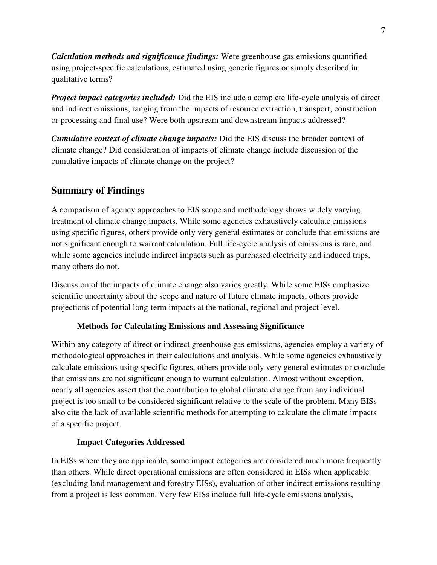*Calculation methods and significance findings:* Were greenhouse gas emissions quantified using project-specific calculations, estimated using generic figures or simply described in qualitative terms?

*Project impact categories included:* Did the EIS include a complete life-cycle analysis of direct and indirect emissions, ranging from the impacts of resource extraction, transport, construction or processing and final use? Were both upstream and downstream impacts addressed?

*Cumulative context of climate change impacts:* Did the EIS discuss the broader context of climate change? Did consideration of impacts of climate change include discussion of the cumulative impacts of climate change on the project?

# **Summary of Findings**

A comparison of agency approaches to EIS scope and methodology shows widely varying treatment of climate change impacts. While some agencies exhaustively calculate emissions using specific figures, others provide only very general estimates or conclude that emissions are not significant enough to warrant calculation. Full life-cycle analysis of emissions is rare, and while some agencies include indirect impacts such as purchased electricity and induced trips, many others do not.

Discussion of the impacts of climate change also varies greatly. While some EISs emphasize scientific uncertainty about the scope and nature of future climate impacts, others provide projections of potential long-term impacts at the national, regional and project level.

### **Methods for Calculating Emissions and Assessing Significance**

Within any category of direct or indirect greenhouse gas emissions, agencies employ a variety of methodological approaches in their calculations and analysis. While some agencies exhaustively calculate emissions using specific figures, others provide only very general estimates or conclude that emissions are not significant enough to warrant calculation. Almost without exception, nearly all agencies assert that the contribution to global climate change from any individual project is too small to be considered significant relative to the scale of the problem. Many EISs also cite the lack of available scientific methods for attempting to calculate the climate impacts of a specific project.

### **Impact Categories Addressed**

In EISs where they are applicable, some impact categories are considered much more frequently than others. While direct operational emissions are often considered in EISs when applicable (excluding land management and forestry EISs), evaluation of other indirect emissions resulting from a project is less common. Very few EISs include full life-cycle emissions analysis,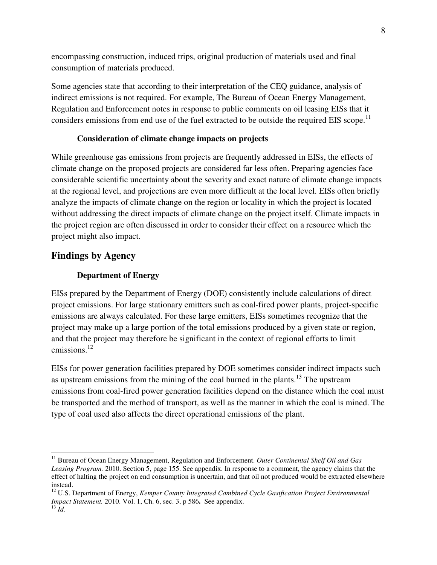encompassing construction, induced trips, original production of materials used and final consumption of materials produced.

Some agencies state that according to their interpretation of the CEQ guidance, analysis of indirect emissions is not required. For example, The Bureau of Ocean Energy Management, Regulation and Enforcement notes in response to public comments on oil leasing EISs that it considers emissions from end use of the fuel extracted to be outside the required EIS scope.<sup>11</sup>

#### **Consideration of climate change impacts on projects**

While greenhouse gas emissions from projects are frequently addressed in EISs, the effects of climate change on the proposed projects are considered far less often. Preparing agencies face considerable scientific uncertainty about the severity and exact nature of climate change impacts at the regional level, and projections are even more difficult at the local level. EISs often briefly analyze the impacts of climate change on the region or locality in which the project is located without addressing the direct impacts of climate change on the project itself. Climate impacts in the project region are often discussed in order to consider their effect on a resource which the project might also impact.

# **Findings by Agency**

 $\overline{a}$ 

### **Department of Energy**

EISs prepared by the Department of Energy (DOE) consistently include calculations of direct project emissions. For large stationary emitters such as coal-fired power plants, project-specific emissions are always calculated. For these large emitters, EISs sometimes recognize that the project may make up a large portion of the total emissions produced by a given state or region, and that the project may therefore be significant in the context of regional efforts to limit emissions.<sup>12</sup>

EISs for power generation facilities prepared by DOE sometimes consider indirect impacts such as upstream emissions from the mining of the coal burned in the plants.<sup>13</sup> The upstream emissions from coal-fired power generation facilities depend on the distance which the coal must be transported and the method of transport, as well as the manner in which the coal is mined. The type of coal used also affects the direct operational emissions of the plant.

<sup>11</sup> Bureau of Ocean Energy Management, Regulation and Enforcement. *Outer Continental Shelf Oil and Gas Leasing Program.* 2010. Section 5, page 155. See appendix. In response to a comment, the agency claims that the effect of halting the project on end consumption is uncertain, and that oil not produced would be extracted elsewhere instead.

<sup>&</sup>lt;sup>12</sup> U.S. Department of Energy, *Kemper County Integrated Combined Cycle Gasification Project Environmental Impact Statement.* 2010. Vol. 1, Ch. 6, sec. 3, p 586**.** See appendix.  $^{13}$  *Id.*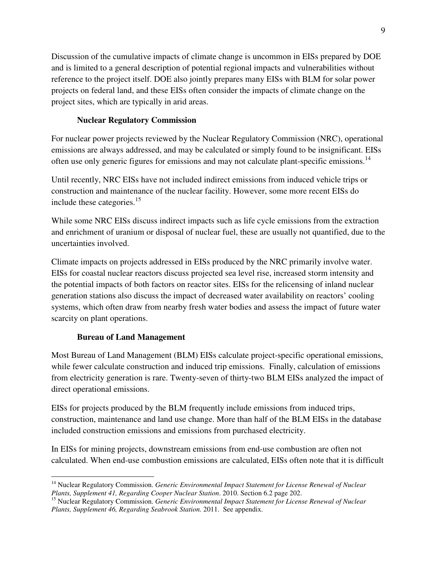Discussion of the cumulative impacts of climate change is uncommon in EISs prepared by DOE and is limited to a general description of potential regional impacts and vulnerabilities without reference to the project itself. DOE also jointly prepares many EISs with BLM for solar power projects on federal land, and these EISs often consider the impacts of climate change on the project sites, which are typically in arid areas.

## **Nuclear Regulatory Commission**

For nuclear power projects reviewed by the Nuclear Regulatory Commission (NRC), operational emissions are always addressed, and may be calculated or simply found to be insignificant. EISs often use only generic figures for emissions and may not calculate plant-specific emissions.<sup>14</sup>

Until recently, NRC EISs have not included indirect emissions from induced vehicle trips or construction and maintenance of the nuclear facility. However, some more recent EISs do include these categories.<sup>15</sup>

While some NRC EISs discuss indirect impacts such as life cycle emissions from the extraction and enrichment of uranium or disposal of nuclear fuel, these are usually not quantified, due to the uncertainties involved.

Climate impacts on projects addressed in EISs produced by the NRC primarily involve water. EISs for coastal nuclear reactors discuss projected sea level rise, increased storm intensity and the potential impacts of both factors on reactor sites. EISs for the relicensing of inland nuclear generation stations also discuss the impact of decreased water availability on reactors' cooling systems, which often draw from nearby fresh water bodies and assess the impact of future water scarcity on plant operations.

### **Bureau of Land Management**

 $\overline{a}$ 

Most Bureau of Land Management (BLM) EISs calculate project-specific operational emissions, while fewer calculate construction and induced trip emissions. Finally, calculation of emissions from electricity generation is rare. Twenty-seven of thirty-two BLM EISs analyzed the impact of direct operational emissions.

EISs for projects produced by the BLM frequently include emissions from induced trips, construction, maintenance and land use change. More than half of the BLM EISs in the database included construction emissions and emissions from purchased electricity.

In EISs for mining projects, downstream emissions from end-use combustion are often not calculated. When end-use combustion emissions are calculated, EISs often note that it is difficult

<sup>&</sup>lt;sup>14</sup> Nuclear Regulatory Commission. *Generic Environmental Impact Statement for License Renewal of Nuclear Plants, Supplement 41, Regarding Cooper Nuclear Station*. 2010. Section 6.2 page 202.

<sup>&</sup>lt;sup>15</sup> Nuclear Regulatory Commission. *Generic Environmental Impact Statement for License Renewal of Nuclear Plants, Supplement 46, Regarding Seabrook Station.* 2011. See appendix.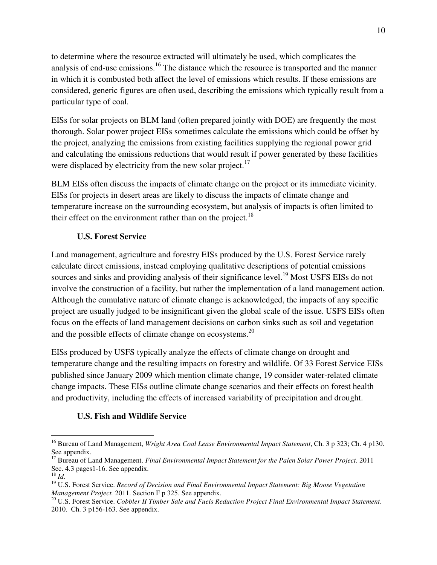to determine where the resource extracted will ultimately be used, which complicates the analysis of end-use emissions.<sup>16</sup> The distance which the resource is transported and the manner in which it is combusted both affect the level of emissions which results. If these emissions are considered, generic figures are often used, describing the emissions which typically result from a particular type of coal.

EISs for solar projects on BLM land (often prepared jointly with DOE) are frequently the most thorough. Solar power project EISs sometimes calculate the emissions which could be offset by the project, analyzing the emissions from existing facilities supplying the regional power grid and calculating the emissions reductions that would result if power generated by these facilities were displaced by electricity from the new solar project.<sup>17</sup>

BLM EISs often discuss the impacts of climate change on the project or its immediate vicinity. EISs for projects in desert areas are likely to discuss the impacts of climate change and temperature increase on the surrounding ecosystem, but analysis of impacts is often limited to their effect on the environment rather than on the project.<sup>18</sup>

# **U.S. Forest Service**

Land management, agriculture and forestry EISs produced by the U.S. Forest Service rarely calculate direct emissions, instead employing qualitative descriptions of potential emissions sources and sinks and providing analysis of their significance level.<sup>19</sup> Most USFS EISs do not involve the construction of a facility, but rather the implementation of a land management action. Although the cumulative nature of climate change is acknowledged, the impacts of any specific project are usually judged to be insignificant given the global scale of the issue. USFS EISs often focus on the effects of land management decisions on carbon sinks such as soil and vegetation and the possible effects of climate change on ecosystems. $^{20}$ 

EISs produced by USFS typically analyze the effects of climate change on drought and temperature change and the resulting impacts on forestry and wildlife. Of 33 Forest Service EISs published since January 2009 which mention climate change, 19 consider water-related climate change impacts. These EISs outline climate change scenarios and their effects on forest health and productivity, including the effects of increased variability of precipitation and drought.

# **U.S. Fish and Wildlife Service**

<sup>16</sup> Bureau of Land Management, *Wright Area Coal Lease Environmental Impact Statement*, Ch. 3 p 323; Ch. 4 p130. See appendix.

<sup>17</sup> Bureau of Land Management. *Final Environmental Impact Statement for the Palen Solar Power Project*. 2011 Sec. 4.3 pages1-16. See appendix.

<sup>18</sup> *Id.*

<sup>19</sup> U.S. Forest Service. *Record of Decision and Final Environmental Impact Statement: Big Moose Vegetation Management Project.* 2011. Section F p 325. See appendix.

<sup>20</sup> U.S. Forest Service. *Cobbler II Timber Sale and Fuels Reduction Project Final Environmental Impact Statement*. 2010. Ch. 3 p156-163. See appendix.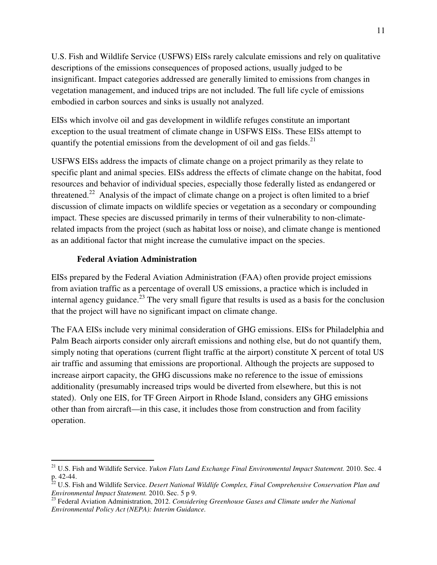U.S. Fish and Wildlife Service (USFWS) EISs rarely calculate emissions and rely on qualitative descriptions of the emissions consequences of proposed actions, usually judged to be insignificant. Impact categories addressed are generally limited to emissions from changes in vegetation management, and induced trips are not included. The full life cycle of emissions embodied in carbon sources and sinks is usually not analyzed.

EISs which involve oil and gas development in wildlife refuges constitute an important exception to the usual treatment of climate change in USFWS EISs. These EISs attempt to quantify the potential emissions from the development of oil and gas fields.<sup>21</sup>

USFWS EISs address the impacts of climate change on a project primarily as they relate to specific plant and animal species. EISs address the effects of climate change on the habitat, food resources and behavior of individual species, especially those federally listed as endangered or threatened.<sup>22</sup> Analysis of the impact of climate change on a project is often limited to a brief discussion of climate impacts on wildlife species or vegetation as a secondary or compounding impact. These species are discussed primarily in terms of their vulnerability to non-climaterelated impacts from the project (such as habitat loss or noise), and climate change is mentioned as an additional factor that might increase the cumulative impact on the species.

# **Federal Aviation Administration**

 $\overline{a}$ 

EISs prepared by the Federal Aviation Administration (FAA) often provide project emissions from aviation traffic as a percentage of overall US emissions, a practice which is included in internal agency guidance.<sup>23</sup> The very small figure that results is used as a basis for the conclusion that the project will have no significant impact on climate change.

The FAA EISs include very minimal consideration of GHG emissions. EISs for Philadelphia and Palm Beach airports consider only aircraft emissions and nothing else, but do not quantify them, simply noting that operations (current flight traffic at the airport) constitute X percent of total US air traffic and assuming that emissions are proportional. Although the projects are supposed to increase airport capacity, the GHG discussions make no reference to the issue of emissions additionality (presumably increased trips would be diverted from elsewhere, but this is not stated). Only one EIS, for TF Green Airport in Rhode Island, considers any GHG emissions other than from aircraft—in this case, it includes those from construction and from facility operation.

<sup>&</sup>lt;sup>21</sup> U.S. Fish and Wildlife Service. *Yukon Flats Land Exchange Final Environmental Impact Statement*. 2010. Sec. 4 p. 42-44.

<sup>22</sup> U.S. Fish and Wildlife Service. *Desert National Wildlife Complex, Final Comprehensive Conservation Plan and Environmental Impact Statement.* 2010. Sec. 5 p 9.

<sup>23</sup> Federal Aviation Administration, 2012. *Considering Greenhouse Gases and Climate under the National Environmental Policy Act (NEPA): Interim Guidance.*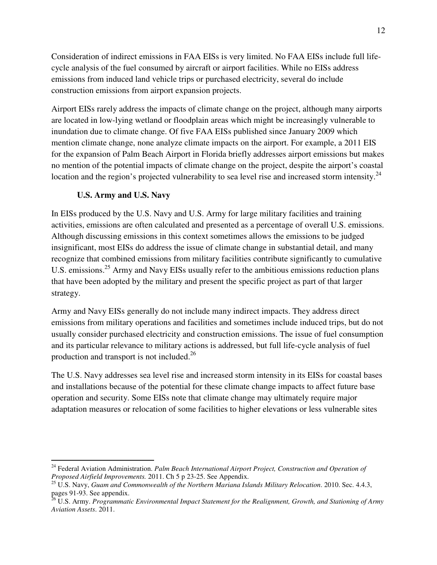Consideration of indirect emissions in FAA EISs is very limited. No FAA EISs include full lifecycle analysis of the fuel consumed by aircraft or airport facilities. While no EISs address emissions from induced land vehicle trips or purchased electricity, several do include construction emissions from airport expansion projects.

Airport EISs rarely address the impacts of climate change on the project, although many airports are located in low-lying wetland or floodplain areas which might be increasingly vulnerable to inundation due to climate change. Of five FAA EISs published since January 2009 which mention climate change, none analyze climate impacts on the airport. For example, a 2011 EIS for the expansion of Palm Beach Airport in Florida briefly addresses airport emissions but makes no mention of the potential impacts of climate change on the project, despite the airport's coastal location and the region's projected vulnerability to sea level rise and increased storm intensity.<sup>24</sup>

# **U.S. Army and U.S. Navy**

 $\overline{a}$ 

In EISs produced by the U.S. Navy and U.S. Army for large military facilities and training activities, emissions are often calculated and presented as a percentage of overall U.S. emissions. Although discussing emissions in this context sometimes allows the emissions to be judged insignificant, most EISs do address the issue of climate change in substantial detail, and many recognize that combined emissions from military facilities contribute significantly to cumulative U.S. emissions.<sup>25</sup> Army and Navy EISs usually refer to the ambitious emissions reduction plans that have been adopted by the military and present the specific project as part of that larger strategy.

Army and Navy EISs generally do not include many indirect impacts. They address direct emissions from military operations and facilities and sometimes include induced trips, but do not usually consider purchased electricity and construction emissions. The issue of fuel consumption and its particular relevance to military actions is addressed, but full life-cycle analysis of fuel production and transport is not included.<sup>26</sup>

The U.S. Navy addresses sea level rise and increased storm intensity in its EISs for coastal bases and installations because of the potential for these climate change impacts to affect future base operation and security. Some EISs note that climate change may ultimately require major adaptation measures or relocation of some facilities to higher elevations or less vulnerable sites

<sup>&</sup>lt;sup>24</sup> Federal Aviation Administration. *Palm Beach International Airport Project, Construction and Operation of Proposed Airfield Improvements.* 2011. Ch 5 p 23-25. See Appendix.

<sup>25</sup> U.S. Navy, *Guam and Commonwealth of the Northern Mariana Islands Military Relocation*. 2010. Sec. 4.4.3, pages 91-93. See appendix.

<sup>26</sup> U.S. Army. *Programmatic Environmental Impact Statement for the Realignment, Growth, and Stationing of Army Aviation Assets*. 2011.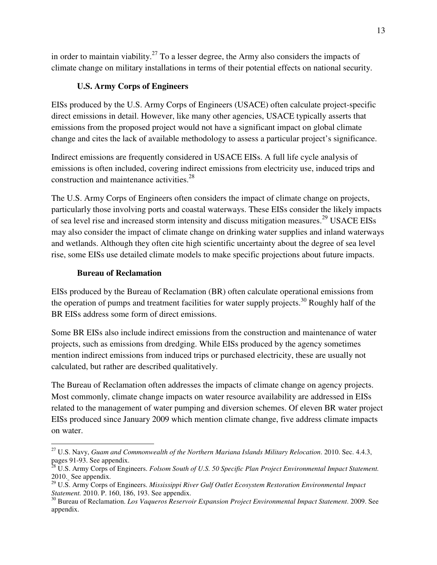in order to maintain viability.<sup>27</sup> To a lesser degree, the Army also considers the impacts of climate change on military installations in terms of their potential effects on national security.

# **U.S. Army Corps of Engineers**

EISs produced by the U.S. Army Corps of Engineers (USACE) often calculate project-specific direct emissions in detail. However, like many other agencies, USACE typically asserts that emissions from the proposed project would not have a significant impact on global climate change and cites the lack of available methodology to assess a particular project's significance.

Indirect emissions are frequently considered in USACE EISs. A full life cycle analysis of emissions is often included, covering indirect emissions from electricity use, induced trips and construction and maintenance activities.<sup>28</sup>

The U.S. Army Corps of Engineers often considers the impact of climate change on projects, particularly those involving ports and coastal waterways. These EISs consider the likely impacts of sea level rise and increased storm intensity and discuss mitigation measures.<sup>29</sup> USACE EISs may also consider the impact of climate change on drinking water supplies and inland waterways and wetlands. Although they often cite high scientific uncertainty about the degree of sea level rise, some EISs use detailed climate models to make specific projections about future impacts.

# **Bureau of Reclamation**

EISs produced by the Bureau of Reclamation (BR) often calculate operational emissions from the operation of pumps and treatment facilities for water supply projects.<sup>30</sup> Roughly half of the BR EISs address some form of direct emissions.

Some BR EISs also include indirect emissions from the construction and maintenance of water projects, such as emissions from dredging. While EISs produced by the agency sometimes mention indirect emissions from induced trips or purchased electricity, these are usually not calculated, but rather are described qualitatively.

The Bureau of Reclamation often addresses the impacts of climate change on agency projects. Most commonly, climate change impacts on water resource availability are addressed in EISs related to the management of water pumping and diversion schemes. Of eleven BR water project EISs produced since January 2009 which mention climate change, five address climate impacts on water.

 $\overline{a}$ <sup>27</sup> U.S. Navy, *Guam and Commonwealth of the Northern Mariana Islands Military Relocation*. 2010. Sec. 4.4.3, pages 91-93. See appendix.

<sup>28</sup> U.S. Army Corps of Engineers. *Folsom South of U.S. 50 Specific Plan Project Environmental Impact Statement.* 2010. See appendix.

<sup>29</sup> U.S. Army Corps of Engineers. *Mississippi River Gulf Outlet Ecosystem Restoration Environmental Impact Statement.* 2010. P. 160, 186, 193. See appendix.

<sup>30</sup> Bureau of Reclamation. *Los Vaqueros Reservoir Expansion Project Environmental Impact Statement*. 2009. See appendix.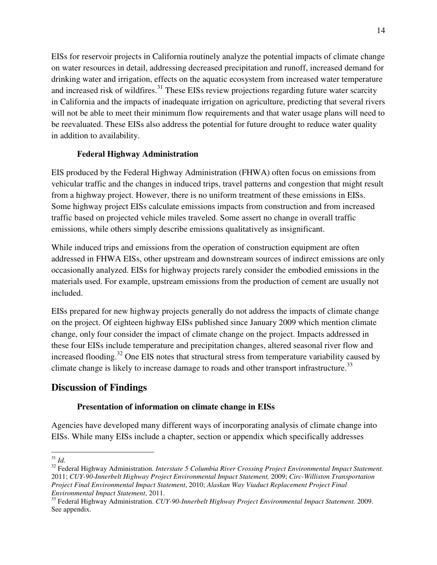EISs for reservoir projects in California routinely analyze the potential impacts of climate change on water resources in detail, addressing decreased precipitation and runoff, increased demand for drinking water and irrigation, effects on the aquatic ecosystem from increased water temperature and increased risk of wildfires.<sup>31</sup> These EISs review projections regarding future water scarcity in California and the impacts of inadequate irrigation on agriculture, predicting that several rivers will not be able to meet their minimum flow requirements and that water usage plans will need to be reevaluated. These EISs also address the potential for future drought to reduce water quality in addition to availability.

# **Federal Highway Administration**

EIS produced by the Federal Highway Administration (FHWA) often focus on emissions from vehicular traffic and the changes in induced trips, travel patterns and congestion that might result from a highway project. However, there is no uniform treatment of these emissions in EISs. Some highway project EISs calculate emissions impacts from construction and from increased traffic based on projected vehicle miles traveled. Some assert no change in overall traffic emissions, while others simply describe emissions qualitatively as insignificant.

While induced trips and emissions from the operation of construction equipment are often addressed in FHWA EISs, other upstream and downstream sources of indirect emissions are only occasionally analyzed. EISs for highway projects rarely consider the embodied emissions in the materials used. For example, upstream emissions from the production of cement are usually not included.

EISs prepared for new highway projects generally do not address the impacts of climate change on the project. Of eighteen highway EISs published since January 2009 which mention climate change, only four consider the impact of climate change on the project. Impacts addressed in these four EISs include temperature and precipitation changes, altered seasonal river flow and increased flooding.<sup>32</sup> One EIS notes that structural stress from temperature variability caused by climate change is likely to increase damage to roads and other transport infrastructure.<sup>33</sup>

# **Discussion of Findings**

# **Presentation of information on climate change in EISs**

Agencies have developed many different ways of incorporating analysis of climate change into EISs. While many EISs include a chapter, section or appendix which specifically addresses

 $\overline{a}$ <sup>31</sup> *Id.*

<sup>&</sup>lt;sup>32</sup> Federal Highway Administration. *Interstate 5 Columbia River Crossing Project Environmental Impact Statement*. 2011; *CUY-90-Innerbelt Highway Project Environmental Impact Statement,* 2009; *Circ-Williston Transportation Project Final Environmental Impact Statement*, 2010; *Alaskan Way Viaduct Replacement Project Final Environmental Impact Statement*, 2011.

<sup>33</sup> Federal Highway Administration. *CUY-90-Innerbelt Highway Project Environmental Impact Statement.* 2009. See appendix.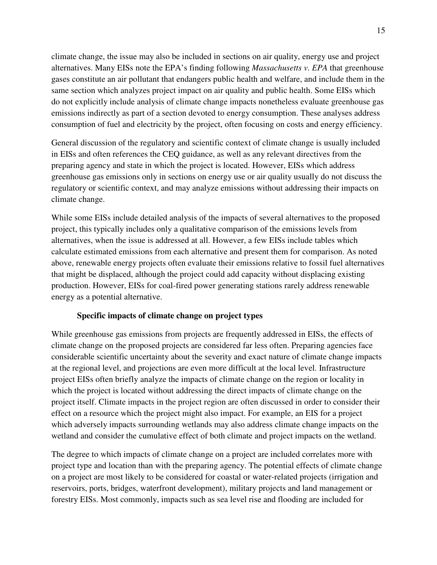climate change, the issue may also be included in sections on air quality, energy use and project alternatives. Many EISs note the EPA's finding following *Massachusetts v. EPA* that greenhouse gases constitute an air pollutant that endangers public health and welfare, and include them in the same section which analyzes project impact on air quality and public health. Some EISs which do not explicitly include analysis of climate change impacts nonetheless evaluate greenhouse gas emissions indirectly as part of a section devoted to energy consumption. These analyses address consumption of fuel and electricity by the project, often focusing on costs and energy efficiency.

General discussion of the regulatory and scientific context of climate change is usually included in EISs and often references the CEQ guidance, as well as any relevant directives from the preparing agency and state in which the project is located. However, EISs which address greenhouse gas emissions only in sections on energy use or air quality usually do not discuss the regulatory or scientific context, and may analyze emissions without addressing their impacts on climate change.

While some EISs include detailed analysis of the impacts of several alternatives to the proposed project, this typically includes only a qualitative comparison of the emissions levels from alternatives, when the issue is addressed at all. However, a few EISs include tables which calculate estimated emissions from each alternative and present them for comparison. As noted above, renewable energy projects often evaluate their emissions relative to fossil fuel alternatives that might be displaced, although the project could add capacity without displacing existing production. However, EISs for coal-fired power generating stations rarely address renewable energy as a potential alternative.

### **Specific impacts of climate change on project types**

While greenhouse gas emissions from projects are frequently addressed in EISs, the effects of climate change on the proposed projects are considered far less often. Preparing agencies face considerable scientific uncertainty about the severity and exact nature of climate change impacts at the regional level, and projections are even more difficult at the local level. Infrastructure project EISs often briefly analyze the impacts of climate change on the region or locality in which the project is located without addressing the direct impacts of climate change on the project itself. Climate impacts in the project region are often discussed in order to consider their effect on a resource which the project might also impact. For example, an EIS for a project which adversely impacts surrounding wetlands may also address climate change impacts on the wetland and consider the cumulative effect of both climate and project impacts on the wetland.

The degree to which impacts of climate change on a project are included correlates more with project type and location than with the preparing agency. The potential effects of climate change on a project are most likely to be considered for coastal or water-related projects (irrigation and reservoirs, ports, bridges, waterfront development), military projects and land management or forestry EISs. Most commonly, impacts such as sea level rise and flooding are included for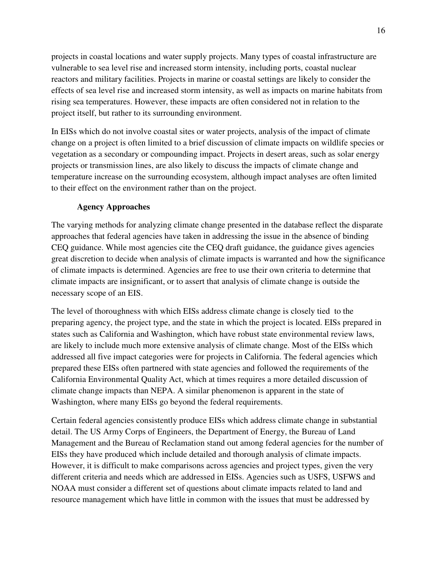projects in coastal locations and water supply projects. Many types of coastal infrastructure are vulnerable to sea level rise and increased storm intensity, including ports, coastal nuclear reactors and military facilities. Projects in marine or coastal settings are likely to consider the effects of sea level rise and increased storm intensity, as well as impacts on marine habitats from rising sea temperatures. However, these impacts are often considered not in relation to the project itself, but rather to its surrounding environment.

In EISs which do not involve coastal sites or water projects, analysis of the impact of climate change on a project is often limited to a brief discussion of climate impacts on wildlife species or vegetation as a secondary or compounding impact. Projects in desert areas, such as solar energy projects or transmission lines, are also likely to discuss the impacts of climate change and temperature increase on the surrounding ecosystem, although impact analyses are often limited to their effect on the environment rather than on the project.

### **Agency Approaches**

The varying methods for analyzing climate change presented in the database reflect the disparate approaches that federal agencies have taken in addressing the issue in the absence of binding CEQ guidance. While most agencies cite the CEQ draft guidance, the guidance gives agencies great discretion to decide when analysis of climate impacts is warranted and how the significance of climate impacts is determined. Agencies are free to use their own criteria to determine that climate impacts are insignificant, or to assert that analysis of climate change is outside the necessary scope of an EIS.

The level of thoroughness with which EISs address climate change is closely tied to the preparing agency, the project type, and the state in which the project is located. EISs prepared in states such as California and Washington, which have robust state environmental review laws, are likely to include much more extensive analysis of climate change. Most of the EISs which addressed all five impact categories were for projects in California. The federal agencies which prepared these EISs often partnered with state agencies and followed the requirements of the California Environmental Quality Act, which at times requires a more detailed discussion of climate change impacts than NEPA. A similar phenomenon is apparent in the state of Washington, where many EISs go beyond the federal requirements.

Certain federal agencies consistently produce EISs which address climate change in substantial detail. The US Army Corps of Engineers, the Department of Energy, the Bureau of Land Management and the Bureau of Reclamation stand out among federal agencies for the number of EISs they have produced which include detailed and thorough analysis of climate impacts. However, it is difficult to make comparisons across agencies and project types, given the very different criteria and needs which are addressed in EISs. Agencies such as USFS, USFWS and NOAA must consider a different set of questions about climate impacts related to land and resource management which have little in common with the issues that must be addressed by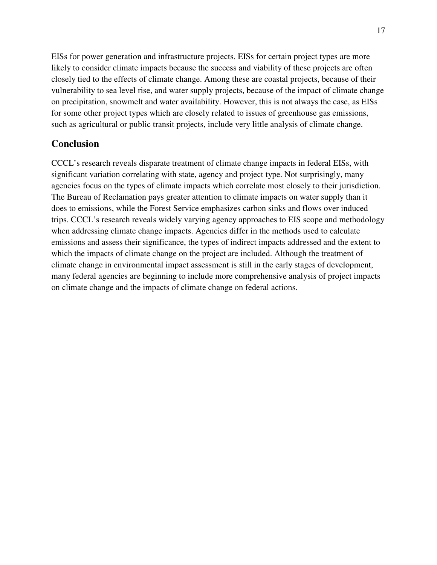EISs for power generation and infrastructure projects. EISs for certain project types are more likely to consider climate impacts because the success and viability of these projects are often closely tied to the effects of climate change. Among these are coastal projects, because of their vulnerability to sea level rise, and water supply projects, because of the impact of climate change on precipitation, snowmelt and water availability. However, this is not always the case, as EISs for some other project types which are closely related to issues of greenhouse gas emissions, such as agricultural or public transit projects, include very little analysis of climate change.

# **Conclusion**

CCCL's research reveals disparate treatment of climate change impacts in federal EISs, with significant variation correlating with state, agency and project type. Not surprisingly, many agencies focus on the types of climate impacts which correlate most closely to their jurisdiction. The Bureau of Reclamation pays greater attention to climate impacts on water supply than it does to emissions, while the Forest Service emphasizes carbon sinks and flows over induced trips. CCCL's research reveals widely varying agency approaches to EIS scope and methodology when addressing climate change impacts. Agencies differ in the methods used to calculate emissions and assess their significance, the types of indirect impacts addressed and the extent to which the impacts of climate change on the project are included. Although the treatment of climate change in environmental impact assessment is still in the early stages of development, many federal agencies are beginning to include more comprehensive analysis of project impacts on climate change and the impacts of climate change on federal actions.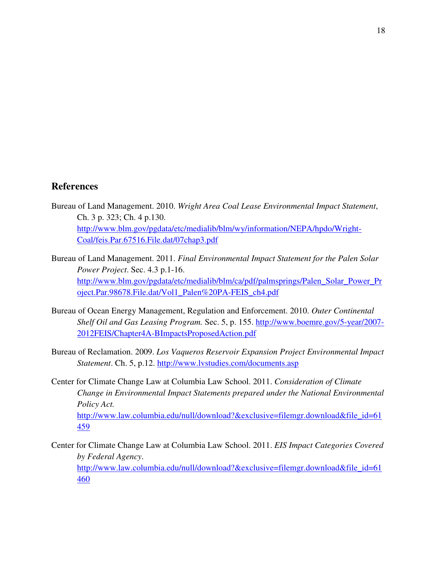## **References**

- Bureau of Land Management. 2010. *Wright Area Coal Lease Environmental Impact Statement*, Ch. 3 p. 323; Ch. 4 p.130. http://www.blm.gov/pgdata/etc/medialib/blm/wy/information/NEPA/hpdo/Wright-Coal/feis.Par.67516.File.dat/07chap3.pdf
- Bureau of Land Management. 2011. *Final Environmental Impact Statement for the Palen Solar Power Project*. Sec. 4.3 p.1-16. http://www.blm.gov/pgdata/etc/medialib/blm/ca/pdf/palmsprings/Palen\_Solar\_Power\_Pr oject.Par.98678.File.dat/Vol1\_Palen%20PA-FEIS\_ch4.pdf
- Bureau of Ocean Energy Management, Regulation and Enforcement. 2010. *Outer Continental Shelf Oil and Gas Leasing Program.* Sec. 5, p. 155. http://www.boemre.gov/5-year/2007- 2012FEIS/Chapter4A-BImpactsProposedAction.pdf
- Bureau of Reclamation. 2009. *Los Vaqueros Reservoir Expansion Project Environmental Impact Statement*. Ch. 5, p.12. http://www.lvstudies.com/documents.asp
- Center for Climate Change Law at Columbia Law School. 2011. *Consideration of Climate Change in Environmental Impact Statements prepared under the National Environmental Policy Act.*  http://www.law.columbia.edu/null/download?&exclusive=filemgr.download&file\_id=61 459
- Center for Climate Change Law at Columbia Law School. 2011. *EIS Impact Categories Covered by Federal Agency*. http://www.law.columbia.edu/null/download?&exclusive=filemgr.download&file\_id=61 460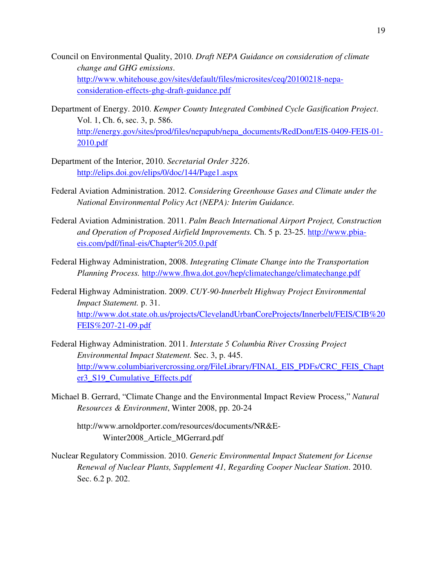- Council on Environmental Quality, 2010. *Draft NEPA Guidance on consideration of climate change and GHG emissions*. http://www.whitehouse.gov/sites/default/files/microsites/ceq/20100218-nepaconsideration-effects-ghg-draft-guidance.pdf
- Department of Energy. 2010. *Kemper County Integrated Combined Cycle Gasification Project*. Vol. 1, Ch. 6, sec. 3, p. 586. http://energy.gov/sites/prod/files/nepapub/nepa\_documents/RedDont/EIS-0409-FEIS-01- 2010.pdf
- Department of the Interior, 2010. *Secretarial Order 3226*. http://elips.doi.gov/elips/0/doc/144/Page1.aspx
- Federal Aviation Administration. 2012. *Considering Greenhouse Gases and Climate under the National Environmental Policy Act (NEPA): Interim Guidance.*
- Federal Aviation Administration. 2011. *Palm Beach International Airport Project, Construction and Operation of Proposed Airfield Improvements.* Ch. 5 p. 23-25. http://www.pbiaeis.com/pdf/final-eis/Chapter%205.0.pdf
- Federal Highway Administration, 2008. *Integrating Climate Change into the Transportation Planning Process.* http://www.fhwa.dot.gov/hep/climatechange/climatechange.pdf
- Federal Highway Administration. 2009. *CUY-90-Innerbelt Highway Project Environmental Impact Statement.* p. 31. http://www.dot.state.oh.us/projects/ClevelandUrbanCoreProjects/Innerbelt/FEIS/CIB%20 FEIS%207-21-09.pdf
- Federal Highway Administration. 2011. *Interstate 5 Columbia River Crossing Project Environmental Impact Statement.* Sec. 3, p. 445. http://www.columbiarivercrossing.org/FileLibrary/FINAL\_EIS\_PDFs/CRC\_FEIS\_Chapt er3\_S19\_Cumulative\_Effects.pdf
- Michael B. Gerrard, "Climate Change and the Environmental Impact Review Process," *Natural Resources & Environment*, Winter 2008, pp. 20-24
	- http://www.arnoldporter.com/resources/documents/NR&E-Winter2008\_Article\_MGerrard.pdf
- Nuclear Regulatory Commission. 2010. *Generic Environmental Impact Statement for License Renewal of Nuclear Plants, Supplement 41, Regarding Cooper Nuclear Station*. 2010. Sec. 6.2 p. 202.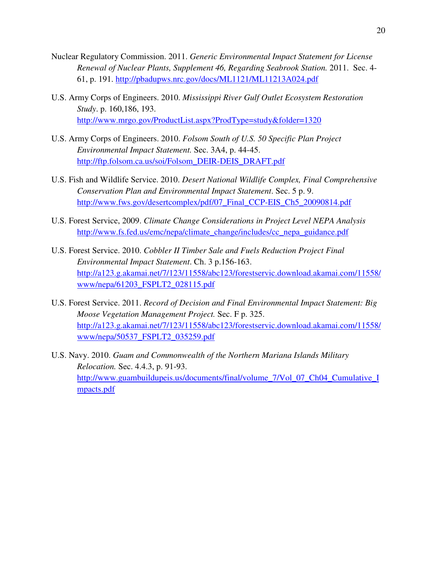- Nuclear Regulatory Commission. 2011. *Generic Environmental Impact Statement for License Renewal of Nuclear Plants, Supplement 46, Regarding Seabrook Station.* 2011. Sec. 4- 61, p. 191. http://pbadupws.nrc.gov/docs/ML1121/ML11213A024.pdf
- U.S. Army Corps of Engineers. 2010. *Mississippi River Gulf Outlet Ecosystem Restoration Study*. p. 160,186, 193. http://www.mrgo.gov/ProductList.aspx?ProdType=study&folder=1320
- U.S. Army Corps of Engineers. 2010. *Folsom South of U.S. 50 Specific Plan Project Environmental Impact Statement.* Sec. 3A4, p. 44-45. http://ftp.folsom.ca.us/soi/Folsom\_DEIR-DEIS\_DRAFT.pdf
- U.S. Fish and Wildlife Service. 2010. *Desert National Wildlife Complex, Final Comprehensive Conservation Plan and Environmental Impact Statement*. Sec. 5 p. 9. http://www.fws.gov/desertcomplex/pdf/07\_Final\_CCP-EIS\_Ch5\_20090814.pdf
- U.S. Forest Service, 2009. *Climate Change Considerations in Project Level NEPA Analysis*  http://www.fs.fed.us/emc/nepa/climate\_change/includes/cc\_nepa\_guidance.pdf
- U.S. Forest Service. 2010. *Cobbler II Timber Sale and Fuels Reduction Project Final Environmental Impact Statement*. Ch. 3 p.156-163. http://a123.g.akamai.net/7/123/11558/abc123/forestservic.download.akamai.com/11558/ www/nepa/61203\_FSPLT2\_028115.pdf
- U.S. Forest Service. 2011. *Record of Decision and Final Environmental Impact Statement: Big Moose Vegetation Management Project.* Sec. F p. 325. http://a123.g.akamai.net/7/123/11558/abc123/forestservic.download.akamai.com/11558/ www/nepa/50537\_FSPLT2\_035259.pdf
- U.S. Navy. 2010. *Guam and Commonwealth of the Northern Mariana Islands Military Relocation.* Sec. 4.4.3, p. 91-93. http://www.guambuildupeis.us/documents/final/volume\_7/Vol\_07\_Ch04\_Cumulative\_I mpacts.pdf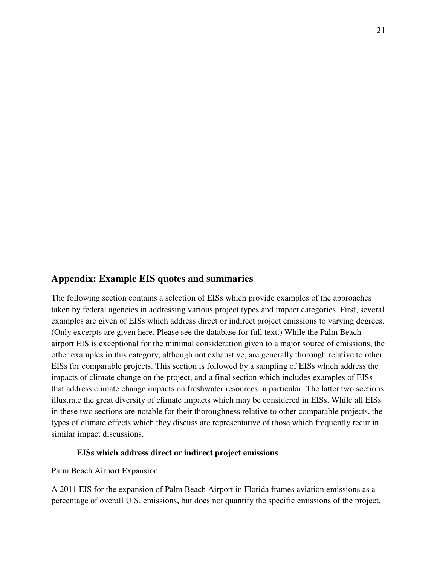# **Appendix: Example EIS quotes and summaries**

The following section contains a selection of EISs which provide examples of the approaches taken by federal agencies in addressing various project types and impact categories. First, several examples are given of EISs which address direct or indirect project emissions to varying degrees. (Only excerpts are given here. Please see the database for full text.) While the Palm Beach airport EIS is exceptional for the minimal consideration given to a major source of emissions, the other examples in this category, although not exhaustive, are generally thorough relative to other EISs for comparable projects. This section is followed by a sampling of EISs which address the impacts of climate change on the project, and a final section which includes examples of EISs that address climate change impacts on freshwater resources in particular. The latter two sections illustrate the great diversity of climate impacts which may be considered in EISs. While all EISs in these two sections are notable for their thoroughness relative to other comparable projects, the types of climate effects which they discuss are representative of those which frequently recur in similar impact discussions.

#### **EISs which address direct or indirect project emissions**

#### Palm Beach Airport Expansion

A 2011 EIS for the expansion of Palm Beach Airport in Florida frames aviation emissions as a percentage of overall U.S. emissions, but does not quantify the specific emissions of the project.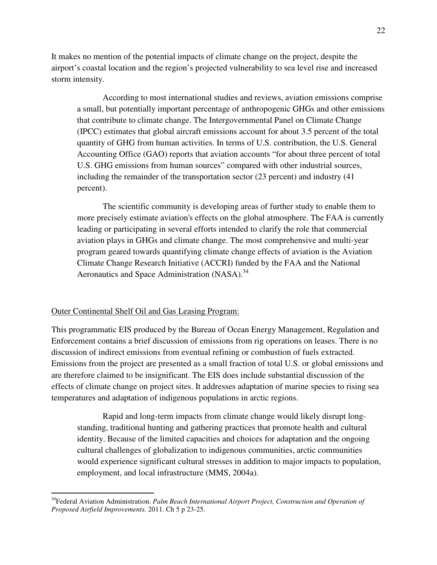It makes no mention of the potential impacts of climate change on the project, despite the airport's coastal location and the region's projected vulnerability to sea level rise and increased storm intensity.

According to most international studies and reviews, aviation emissions comprise a small, but potentially important percentage of anthropogenic GHGs and other emissions that contribute to climate change. The Intergovernmental Panel on Climate Change (IPCC) estimates that global aircraft emissions account for about 3.5 percent of the total quantity of GHG from human activities. In terms of U.S. contribution, the U.S. General Accounting Office (GAO) reports that aviation accounts "for about three percent of total U.S. GHG emissions from human sources" compared with other industrial sources, including the remainder of the transportation sector (23 percent) and industry (41 percent).

The scientific community is developing areas of further study to enable them to more precisely estimate aviation's effects on the global atmosphere. The FAA is currently leading or participating in several efforts intended to clarify the role that commercial aviation plays in GHGs and climate change. The most comprehensive and multi-year program geared towards quantifying climate change effects of aviation is the Aviation Climate Change Research Initiative (ACCRI) funded by the FAA and the National Aeronautics and Space Administration (NASA).<sup>34</sup>

#### Outer Continental Shelf Oil and Gas Leasing Program:

 $\overline{a}$ 

This programmatic EIS produced by the Bureau of Ocean Energy Management, Regulation and Enforcement contains a brief discussion of emissions from rig operations on leases. There is no discussion of indirect emissions from eventual refining or combustion of fuels extracted. Emissions from the project are presented as a small fraction of total U.S. or global emissions and are therefore claimed to be insignificant. The EIS does include substantial discussion of the effects of climate change on project sites. It addresses adaptation of marine species to rising sea temperatures and adaptation of indigenous populations in arctic regions.

Rapid and long-term impacts from climate change would likely disrupt longstanding, traditional hunting and gathering practices that promote health and cultural identity. Because of the limited capacities and choices for adaptation and the ongoing cultural challenges of globalization to indigenous communities, arctic communities would experience significant cultural stresses in addition to major impacts to population, employment, and local infrastructure (MMS, 2004a).

<sup>34</sup>Federal Aviation Administration. *Palm Beach International Airport Project, Construction and Operation of Proposed Airfield Improvements.* 2011. Ch 5 p 23-25.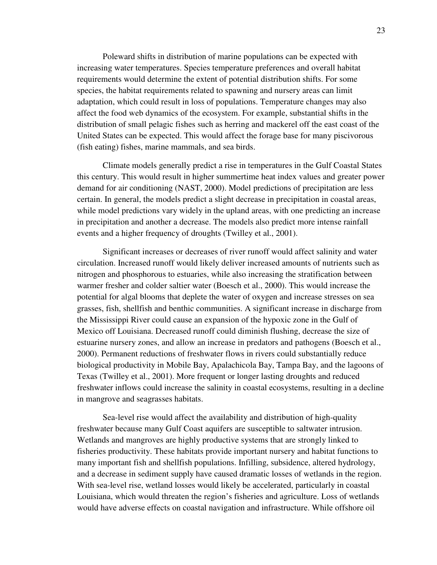Poleward shifts in distribution of marine populations can be expected with increasing water temperatures. Species temperature preferences and overall habitat requirements would determine the extent of potential distribution shifts. For some species, the habitat requirements related to spawning and nursery areas can limit adaptation, which could result in loss of populations. Temperature changes may also affect the food web dynamics of the ecosystem. For example, substantial shifts in the distribution of small pelagic fishes such as herring and mackerel off the east coast of the United States can be expected. This would affect the forage base for many piscivorous (fish eating) fishes, marine mammals, and sea birds.

Climate models generally predict a rise in temperatures in the Gulf Coastal States this century. This would result in higher summertime heat index values and greater power demand for air conditioning (NAST, 2000). Model predictions of precipitation are less certain. In general, the models predict a slight decrease in precipitation in coastal areas, while model predictions vary widely in the upland areas, with one predicting an increase in precipitation and another a decrease. The models also predict more intense rainfall events and a higher frequency of droughts (Twilley et al., 2001).

Significant increases or decreases of river runoff would affect salinity and water circulation. Increased runoff would likely deliver increased amounts of nutrients such as nitrogen and phosphorous to estuaries, while also increasing the stratification between warmer fresher and colder saltier water (Boesch et al., 2000). This would increase the potential for algal blooms that deplete the water of oxygen and increase stresses on sea grasses, fish, shellfish and benthic communities. A significant increase in discharge from the Mississippi River could cause an expansion of the hypoxic zone in the Gulf of Mexico off Louisiana. Decreased runoff could diminish flushing, decrease the size of estuarine nursery zones, and allow an increase in predators and pathogens (Boesch et al., 2000). Permanent reductions of freshwater flows in rivers could substantially reduce biological productivity in Mobile Bay, Apalachicola Bay, Tampa Bay, and the lagoons of Texas (Twilley et al., 2001). More frequent or longer lasting droughts and reduced freshwater inflows could increase the salinity in coastal ecosystems, resulting in a decline in mangrove and seagrasses habitats.

Sea-level rise would affect the availability and distribution of high-quality freshwater because many Gulf Coast aquifers are susceptible to saltwater intrusion. Wetlands and mangroves are highly productive systems that are strongly linked to fisheries productivity. These habitats provide important nursery and habitat functions to many important fish and shellfish populations. Infilling, subsidence, altered hydrology, and a decrease in sediment supply have caused dramatic losses of wetlands in the region. With sea-level rise, wetland losses would likely be accelerated, particularly in coastal Louisiana, which would threaten the region's fisheries and agriculture. Loss of wetlands would have adverse effects on coastal navigation and infrastructure. While offshore oil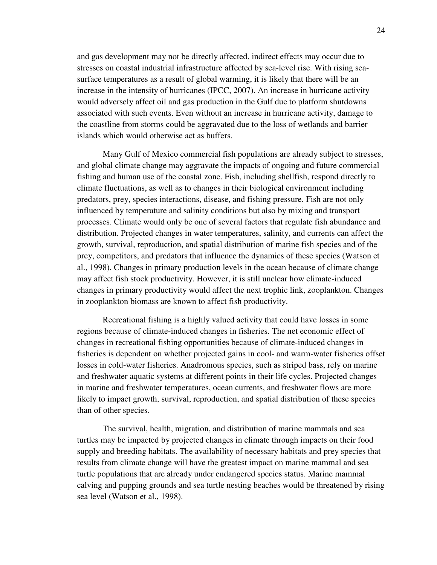and gas development may not be directly affected, indirect effects may occur due to stresses on coastal industrial infrastructure affected by sea-level rise. With rising seasurface temperatures as a result of global warming, it is likely that there will be an increase in the intensity of hurricanes (IPCC, 2007). An increase in hurricane activity would adversely affect oil and gas production in the Gulf due to platform shutdowns associated with such events. Even without an increase in hurricane activity, damage to the coastline from storms could be aggravated due to the loss of wetlands and barrier islands which would otherwise act as buffers.

Many Gulf of Mexico commercial fish populations are already subject to stresses, and global climate change may aggravate the impacts of ongoing and future commercial fishing and human use of the coastal zone. Fish, including shellfish, respond directly to climate fluctuations, as well as to changes in their biological environment including predators, prey, species interactions, disease, and fishing pressure. Fish are not only influenced by temperature and salinity conditions but also by mixing and transport processes. Climate would only be one of several factors that regulate fish abundance and distribution. Projected changes in water temperatures, salinity, and currents can affect the growth, survival, reproduction, and spatial distribution of marine fish species and of the prey, competitors, and predators that influence the dynamics of these species (Watson et al., 1998). Changes in primary production levels in the ocean because of climate change may affect fish stock productivity. However, it is still unclear how climate-induced changes in primary productivity would affect the next trophic link, zooplankton. Changes in zooplankton biomass are known to affect fish productivity.

Recreational fishing is a highly valued activity that could have losses in some regions because of climate-induced changes in fisheries. The net economic effect of changes in recreational fishing opportunities because of climate-induced changes in fisheries is dependent on whether projected gains in cool- and warm-water fisheries offset losses in cold-water fisheries. Anadromous species, such as striped bass, rely on marine and freshwater aquatic systems at different points in their life cycles. Projected changes in marine and freshwater temperatures, ocean currents, and freshwater flows are more likely to impact growth, survival, reproduction, and spatial distribution of these species than of other species.

The survival, health, migration, and distribution of marine mammals and sea turtles may be impacted by projected changes in climate through impacts on their food supply and breeding habitats. The availability of necessary habitats and prey species that results from climate change will have the greatest impact on marine mammal and sea turtle populations that are already under endangered species status. Marine mammal calving and pupping grounds and sea turtle nesting beaches would be threatened by rising sea level (Watson et al., 1998).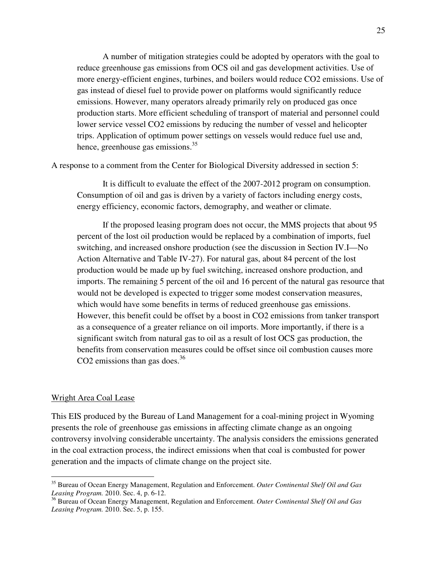A number of mitigation strategies could be adopted by operators with the goal to reduce greenhouse gas emissions from OCS oil and gas development activities. Use of more energy-efficient engines, turbines, and boilers would reduce CO2 emissions. Use of gas instead of diesel fuel to provide power on platforms would significantly reduce emissions. However, many operators already primarily rely on produced gas once production starts. More efficient scheduling of transport of material and personnel could lower service vessel CO2 emissions by reducing the number of vessel and helicopter trips. Application of optimum power settings on vessels would reduce fuel use and, hence, greenhouse gas emissions.<sup>35</sup>

A response to a comment from the Center for Biological Diversity addressed in section 5:

It is difficult to evaluate the effect of the 2007-2012 program on consumption. Consumption of oil and gas is driven by a variety of factors including energy costs, energy efficiency, economic factors, demography, and weather or climate.

If the proposed leasing program does not occur, the MMS projects that about 95 percent of the lost oil production would be replaced by a combination of imports, fuel switching, and increased onshore production (see the discussion in Section IV.I—No Action Alternative and Table IV-27). For natural gas, about 84 percent of the lost production would be made up by fuel switching, increased onshore production, and imports. The remaining 5 percent of the oil and 16 percent of the natural gas resource that would not be developed is expected to trigger some modest conservation measures, which would have some benefits in terms of reduced greenhouse gas emissions. However, this benefit could be offset by a boost in CO2 emissions from tanker transport as a consequence of a greater reliance on oil imports. More importantly, if there is a significant switch from natural gas to oil as a result of lost OCS gas production, the benefits from conservation measures could be offset since oil combustion causes more CO2 emissions than gas does. $36$ 

#### Wright Area Coal Lease

 $\overline{a}$ 

This EIS produced by the Bureau of Land Management for a coal-mining project in Wyoming presents the role of greenhouse gas emissions in affecting climate change as an ongoing controversy involving considerable uncertainty. The analysis considers the emissions generated in the coal extraction process, the indirect emissions when that coal is combusted for power generation and the impacts of climate change on the project site.

<sup>35</sup> Bureau of Ocean Energy Management, Regulation and Enforcement. *Outer Continental Shelf Oil and Gas Leasing Program.* 2010. Sec. 4, p. 6-12.

<sup>36</sup> Bureau of Ocean Energy Management, Regulation and Enforcement. *Outer Continental Shelf Oil and Gas Leasing Program.* 2010. Sec. 5, p. 155.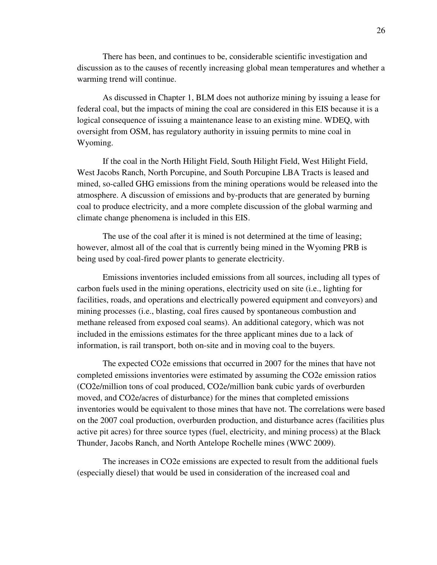There has been, and continues to be, considerable scientific investigation and discussion as to the causes of recently increasing global mean temperatures and whether a warming trend will continue.

As discussed in Chapter 1, BLM does not authorize mining by issuing a lease for federal coal, but the impacts of mining the coal are considered in this EIS because it is a logical consequence of issuing a maintenance lease to an existing mine. WDEQ, with oversight from OSM, has regulatory authority in issuing permits to mine coal in Wyoming.

If the coal in the North Hilight Field, South Hilight Field, West Hilight Field, West Jacobs Ranch, North Porcupine, and South Porcupine LBA Tracts is leased and mined, so-called GHG emissions from the mining operations would be released into the atmosphere. A discussion of emissions and by-products that are generated by burning coal to produce electricity, and a more complete discussion of the global warming and climate change phenomena is included in this EIS.

The use of the coal after it is mined is not determined at the time of leasing; however, almost all of the coal that is currently being mined in the Wyoming PRB is being used by coal-fired power plants to generate electricity.

 Emissions inventories included emissions from all sources, including all types of carbon fuels used in the mining operations, electricity used on site (i.e., lighting for facilities, roads, and operations and electrically powered equipment and conveyors) and mining processes (i.e., blasting, coal fires caused by spontaneous combustion and methane released from exposed coal seams). An additional category, which was not included in the emissions estimates for the three applicant mines due to a lack of information, is rail transport, both on-site and in moving coal to the buyers.

The expected CO2e emissions that occurred in 2007 for the mines that have not completed emissions inventories were estimated by assuming the CO2e emission ratios (CO2e/million tons of coal produced, CO2e/million bank cubic yards of overburden moved, and CO2e/acres of disturbance) for the mines that completed emissions inventories would be equivalent to those mines that have not. The correlations were based on the 2007 coal production, overburden production, and disturbance acres (facilities plus active pit acres) for three source types (fuel, electricity, and mining process) at the Black Thunder, Jacobs Ranch, and North Antelope Rochelle mines (WWC 2009).

The increases in CO2e emissions are expected to result from the additional fuels (especially diesel) that would be used in consideration of the increased coal and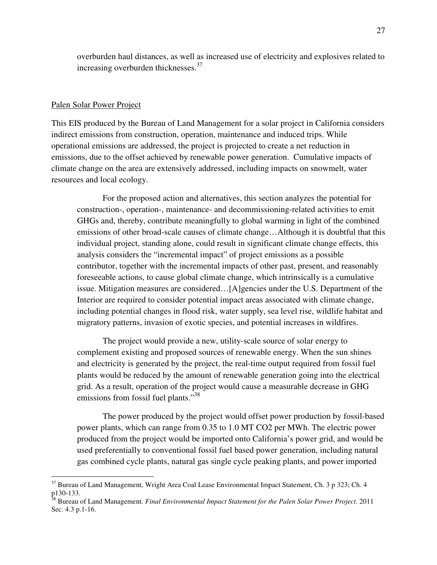overburden haul distances, as well as increased use of electricity and explosives related to increasing overburden thicknesses.<sup>37</sup>

#### Palen Solar Power Project

 $\overline{a}$ 

This EIS produced by the Bureau of Land Management for a solar project in California considers indirect emissions from construction, operation, maintenance and induced trips. While operational emissions are addressed, the project is projected to create a net reduction in emissions, due to the offset achieved by renewable power generation. Cumulative impacts of climate change on the area are extensively addressed, including impacts on snowmelt, water resources and local ecology.

For the proposed action and alternatives, this section analyzes the potential for construction-, operation-, maintenance- and decommissioning-related activities to emit GHGs and, thereby, contribute meaningfully to global warming in light of the combined emissions of other broad-scale causes of climate change…Although it is doubtful that this individual project, standing alone, could result in significant climate change effects, this analysis considers the "incremental impact" of project emissions as a possible contributor, together with the incremental impacts of other past, present, and reasonably foreseeable actions, to cause global climate change, which intrinsically is a cumulative issue. Mitigation measures are considered…[A]gencies under the U.S. Department of the Interior are required to consider potential impact areas associated with climate change, including potential changes in flood risk, water supply, sea level rise, wildlife habitat and migratory patterns, invasion of exotic species, and potential increases in wildfires.

The project would provide a new, utility-scale source of solar energy to complement existing and proposed sources of renewable energy. When the sun shines and electricity is generated by the project, the real-time output required from fossil fuel plants would be reduced by the amount of renewable generation going into the electrical grid. As a result, operation of the project would cause a measurable decrease in GHG emissions from fossil fuel plants."<sup>38</sup>

 The power produced by the project would offset power production by fossil-based power plants, which can range from 0.35 to 1.0 MT CO2 per MWh. The electric power produced from the project would be imported onto California's power grid, and would be used preferentially to conventional fossil fuel based power generation, including natural gas combined cycle plants, natural gas single cycle peaking plants, and power imported

<sup>&</sup>lt;sup>37</sup> Bureau of Land Management, Wright Area Coal Lease Environmental Impact Statement, Ch. 3 p 323; Ch. 4 p130-133.

<sup>38</sup> Bureau of Land Management. *Final Environmental Impact Statement for the Palen Solar Power Project*. 2011 Sec. 4.3 p.1-16.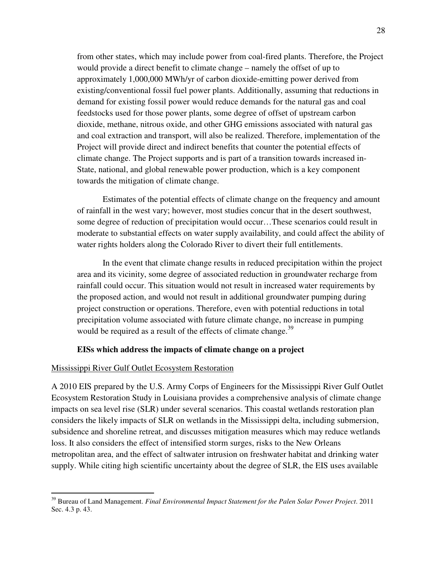from other states, which may include power from coal-fired plants. Therefore, the Project would provide a direct benefit to climate change – namely the offset of up to approximately 1,000,000 MWh/yr of carbon dioxide-emitting power derived from existing/conventional fossil fuel power plants. Additionally, assuming that reductions in demand for existing fossil power would reduce demands for the natural gas and coal feedstocks used for those power plants, some degree of offset of upstream carbon dioxide, methane, nitrous oxide, and other GHG emissions associated with natural gas and coal extraction and transport, will also be realized. Therefore, implementation of the Project will provide direct and indirect benefits that counter the potential effects of climate change. The Project supports and is part of a transition towards increased in-State, national, and global renewable power production, which is a key component towards the mitigation of climate change.

Estimates of the potential effects of climate change on the frequency and amount of rainfall in the west vary; however, most studies concur that in the desert southwest, some degree of reduction of precipitation would occur…These scenarios could result in moderate to substantial effects on water supply availability, and could affect the ability of water rights holders along the Colorado River to divert their full entitlements.

In the event that climate change results in reduced precipitation within the project area and its vicinity, some degree of associated reduction in groundwater recharge from rainfall could occur. This situation would not result in increased water requirements by the proposed action, and would not result in additional groundwater pumping during project construction or operations. Therefore, even with potential reductions in total precipitation volume associated with future climate change, no increase in pumping would be required as a result of the effects of climate change.<sup>39</sup>

#### **EISs which address the impacts of climate change on a project**

#### Mississippi River Gulf Outlet Ecosystem Restoration

 $\overline{a}$ 

A 2010 EIS prepared by the U.S. Army Corps of Engineers for the Mississippi River Gulf Outlet Ecosystem Restoration Study in Louisiana provides a comprehensive analysis of climate change impacts on sea level rise (SLR) under several scenarios. This coastal wetlands restoration plan considers the likely impacts of SLR on wetlands in the Mississippi delta, including submersion, subsidence and shoreline retreat, and discusses mitigation measures which may reduce wetlands loss. It also considers the effect of intensified storm surges, risks to the New Orleans metropolitan area, and the effect of saltwater intrusion on freshwater habitat and drinking water supply. While citing high scientific uncertainty about the degree of SLR, the EIS uses available

<sup>39</sup> Bureau of Land Management. *Final Environmental Impact Statement for the Palen Solar Power Project*. 2011 Sec. 4.3 p. 43.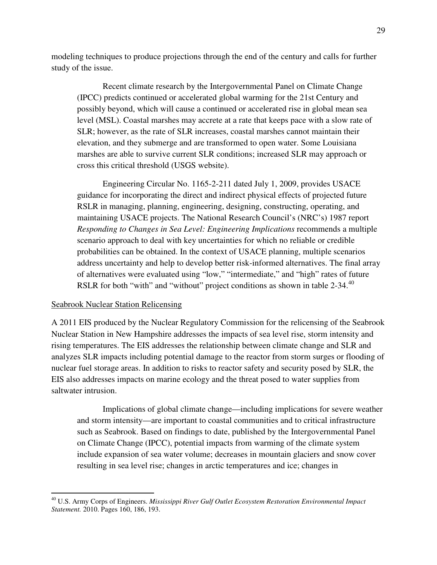modeling techniques to produce projections through the end of the century and calls for further study of the issue.

Recent climate research by the Intergovernmental Panel on Climate Change (IPCC) predicts continued or accelerated global warming for the 21st Century and possibly beyond, which will cause a continued or accelerated rise in global mean sea level (MSL). Coastal marshes may accrete at a rate that keeps pace with a slow rate of SLR; however, as the rate of SLR increases, coastal marshes cannot maintain their elevation, and they submerge and are transformed to open water. Some Louisiana marshes are able to survive current SLR conditions; increased SLR may approach or cross this critical threshold (USGS website).

Engineering Circular No. 1165-2-211 dated July 1, 2009, provides USACE guidance for incorporating the direct and indirect physical effects of projected future RSLR in managing, planning, engineering, designing, constructing, operating, and maintaining USACE projects. The National Research Council's (NRC's) 1987 report *Responding to Changes in Sea Level: Engineering Implications* recommends a multiple scenario approach to deal with key uncertainties for which no reliable or credible probabilities can be obtained. In the context of USACE planning, multiple scenarios address uncertainty and help to develop better risk-informed alternatives. The final array of alternatives were evaluated using "low," "intermediate," and "high" rates of future RSLR for both "with" and "without" project conditions as shown in table 2-34.<sup>40</sup>

#### Seabrook Nuclear Station Relicensing

 $\overline{a}$ 

A 2011 EIS produced by the Nuclear Regulatory Commission for the relicensing of the Seabrook Nuclear Station in New Hampshire addresses the impacts of sea level rise, storm intensity and rising temperatures. The EIS addresses the relationship between climate change and SLR and analyzes SLR impacts including potential damage to the reactor from storm surges or flooding of nuclear fuel storage areas. In addition to risks to reactor safety and security posed by SLR, the EIS also addresses impacts on marine ecology and the threat posed to water supplies from saltwater intrusion.

Implications of global climate change—including implications for severe weather and storm intensity—are important to coastal communities and to critical infrastructure such as Seabrook. Based on findings to date, published by the Intergovernmental Panel on Climate Change (IPCC), potential impacts from warming of the climate system include expansion of sea water volume; decreases in mountain glaciers and snow cover resulting in sea level rise; changes in arctic temperatures and ice; changes in

<sup>40</sup> U.S. Army Corps of Engineers. *Mississippi River Gulf Outlet Ecosystem Restoration Environmental Impact Statement.* 2010. Pages 160, 186, 193.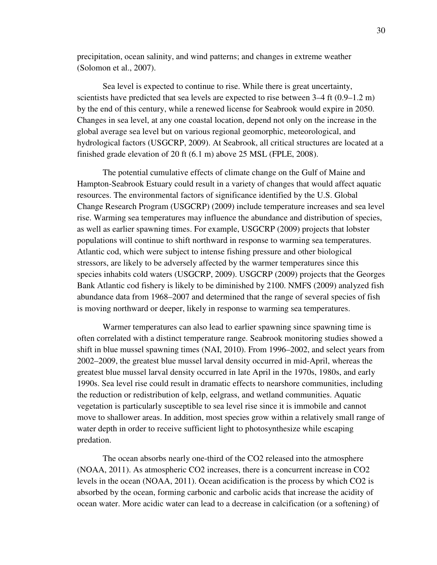precipitation, ocean salinity, and wind patterns; and changes in extreme weather (Solomon et al., 2007).

Sea level is expected to continue to rise. While there is great uncertainty, scientists have predicted that sea levels are expected to rise between  $3-4$  ft  $(0.9-1.2 \text{ m})$ by the end of this century, while a renewed license for Seabrook would expire in 2050. Changes in sea level, at any one coastal location, depend not only on the increase in the global average sea level but on various regional geomorphic, meteorological, and hydrological factors (USGCRP, 2009). At Seabrook, all critical structures are located at a finished grade elevation of 20 ft (6.1 m) above 25 MSL (FPLE, 2008).

The potential cumulative effects of climate change on the Gulf of Maine and Hampton-Seabrook Estuary could result in a variety of changes that would affect aquatic resources. The environmental factors of significance identified by the U.S. Global Change Research Program (USGCRP) (2009) include temperature increases and sea level rise. Warming sea temperatures may influence the abundance and distribution of species, as well as earlier spawning times. For example, USGCRP (2009) projects that lobster populations will continue to shift northward in response to warming sea temperatures. Atlantic cod, which were subject to intense fishing pressure and other biological stressors, are likely to be adversely affected by the warmer temperatures since this species inhabits cold waters (USGCRP, 2009). USGCRP (2009) projects that the Georges Bank Atlantic cod fishery is likely to be diminished by 2100. NMFS (2009) analyzed fish abundance data from 1968–2007 and determined that the range of several species of fish is moving northward or deeper, likely in response to warming sea temperatures.

Warmer temperatures can also lead to earlier spawning since spawning time is often correlated with a distinct temperature range. Seabrook monitoring studies showed a shift in blue mussel spawning times (NAI, 2010). From 1996–2002, and select years from 2002–2009, the greatest blue mussel larval density occurred in mid-April, whereas the greatest blue mussel larval density occurred in late April in the 1970s, 1980s, and early 1990s. Sea level rise could result in dramatic effects to nearshore communities, including the reduction or redistribution of kelp, eelgrass, and wetland communities. Aquatic vegetation is particularly susceptible to sea level rise since it is immobile and cannot move to shallower areas. In addition, most species grow within a relatively small range of water depth in order to receive sufficient light to photosynthesize while escaping predation.

The ocean absorbs nearly one-third of the CO2 released into the atmosphere (NOAA, 2011). As atmospheric CO2 increases, there is a concurrent increase in CO2 levels in the ocean (NOAA, 2011). Ocean acidification is the process by which CO2 is absorbed by the ocean, forming carbonic and carbolic acids that increase the acidity of ocean water. More acidic water can lead to a decrease in calcification (or a softening) of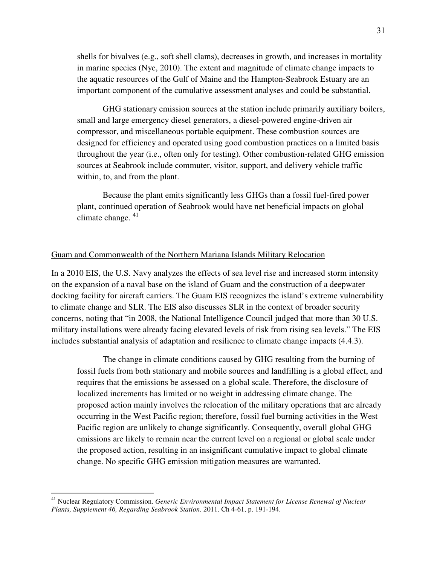shells for bivalves (e.g., soft shell clams), decreases in growth, and increases in mortality in marine species (Nye, 2010). The extent and magnitude of climate change impacts to the aquatic resources of the Gulf of Maine and the Hampton-Seabrook Estuary are an important component of the cumulative assessment analyses and could be substantial.

GHG stationary emission sources at the station include primarily auxiliary boilers, small and large emergency diesel generators, a diesel-powered engine-driven air compressor, and miscellaneous portable equipment. These combustion sources are designed for efficiency and operated using good combustion practices on a limited basis throughout the year (i.e., often only for testing). Other combustion-related GHG emission sources at Seabrook include commuter, visitor, support, and delivery vehicle traffic within, to, and from the plant.

Because the plant emits significantly less GHGs than a fossil fuel-fired power plant, continued operation of Seabrook would have net beneficial impacts on global climate change.  $41$ 

#### Guam and Commonwealth of the Northern Mariana Islands Military Relocation

In a 2010 EIS, the U.S. Navy analyzes the effects of sea level rise and increased storm intensity on the expansion of a naval base on the island of Guam and the construction of a deepwater docking facility for aircraft carriers. The Guam EIS recognizes the island's extreme vulnerability to climate change and SLR. The EIS also discusses SLR in the context of broader security concerns, noting that "in 2008, the National Intelligence Council judged that more than 30 U.S. military installations were already facing elevated levels of risk from rising sea levels." The EIS includes substantial analysis of adaptation and resilience to climate change impacts (4.4.3).

The change in climate conditions caused by GHG resulting from the burning of fossil fuels from both stationary and mobile sources and landfilling is a global effect, and requires that the emissions be assessed on a global scale. Therefore, the disclosure of localized increments has limited or no weight in addressing climate change. The proposed action mainly involves the relocation of the military operations that are already occurring in the West Pacific region; therefore, fossil fuel burning activities in the West Pacific region are unlikely to change significantly. Consequently, overall global GHG emissions are likely to remain near the current level on a regional or global scale under the proposed action, resulting in an insignificant cumulative impact to global climate change. No specific GHG emission mitigation measures are warranted.

<sup>&</sup>lt;sup>41</sup> Nuclear Regulatory Commission. *Generic Environmental Impact Statement for License Renewal of Nuclear Plants, Supplement 46, Regarding Seabrook Station.* 2011. Ch 4-61, p. 191-194.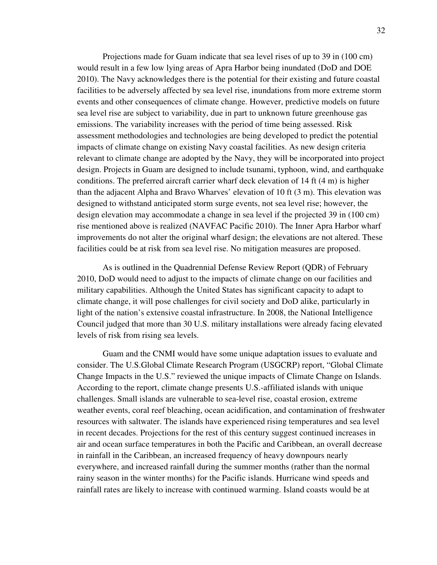Projections made for Guam indicate that sea level rises of up to 39 in (100 cm) would result in a few low lying areas of Apra Harbor being inundated (DoD and DOE 2010). The Navy acknowledges there is the potential for their existing and future coastal facilities to be adversely affected by sea level rise, inundations from more extreme storm events and other consequences of climate change. However, predictive models on future sea level rise are subject to variability, due in part to unknown future greenhouse gas emissions. The variability increases with the period of time being assessed. Risk assessment methodologies and technologies are being developed to predict the potential impacts of climate change on existing Navy coastal facilities. As new design criteria relevant to climate change are adopted by the Navy, they will be incorporated into project design. Projects in Guam are designed to include tsunami, typhoon, wind, and earthquake conditions. The preferred aircraft carrier wharf deck elevation of 14 ft (4 m) is higher than the adjacent Alpha and Bravo Wharves' elevation of 10 ft (3 m). This elevation was designed to withstand anticipated storm surge events, not sea level rise; however, the design elevation may accommodate a change in sea level if the projected 39 in (100 cm) rise mentioned above is realized (NAVFAC Pacific 2010). The Inner Apra Harbor wharf improvements do not alter the original wharf design; the elevations are not altered. These facilities could be at risk from sea level rise. No mitigation measures are proposed.

As is outlined in the Quadrennial Defense Review Report (QDR) of February 2010, DoD would need to adjust to the impacts of climate change on our facilities and military capabilities. Although the United States has significant capacity to adapt to climate change, it will pose challenges for civil society and DoD alike, particularly in light of the nation's extensive coastal infrastructure. In 2008, the National Intelligence Council judged that more than 30 U.S. military installations were already facing elevated levels of risk from rising sea levels.

Guam and the CNMI would have some unique adaptation issues to evaluate and consider. The U.S.Global Climate Research Program (USGCRP) report, "Global Climate Change Impacts in the U.S." reviewed the unique impacts of Climate Change on Islands. According to the report, climate change presents U.S.-affiliated islands with unique challenges. Small islands are vulnerable to sea-level rise, coastal erosion, extreme weather events, coral reef bleaching, ocean acidification, and contamination of freshwater resources with saltwater. The islands have experienced rising temperatures and sea level in recent decades. Projections for the rest of this century suggest continued increases in air and ocean surface temperatures in both the Pacific and Caribbean, an overall decrease in rainfall in the Caribbean, an increased frequency of heavy downpours nearly everywhere, and increased rainfall during the summer months (rather than the normal rainy season in the winter months) for the Pacific islands. Hurricane wind speeds and rainfall rates are likely to increase with continued warming. Island coasts would be at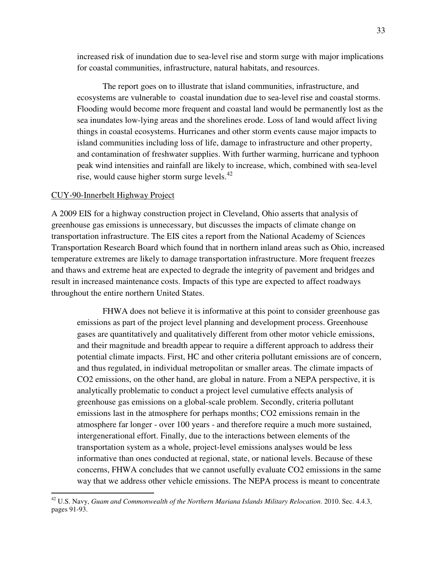increased risk of inundation due to sea-level rise and storm surge with major implications for coastal communities, infrastructure, natural habitats, and resources.

The report goes on to illustrate that island communities, infrastructure, and ecosystems are vulnerable to coastal inundation due to sea-level rise and coastal storms. Flooding would become more frequent and coastal land would be permanently lost as the sea inundates low-lying areas and the shorelines erode. Loss of land would affect living things in coastal ecosystems. Hurricanes and other storm events cause major impacts to island communities including loss of life, damage to infrastructure and other property, and contamination of freshwater supplies. With further warming, hurricane and typhoon peak wind intensities and rainfall are likely to increase, which, combined with sea-level rise, would cause higher storm surge levels.<sup>42</sup>

#### CUY-90-Innerbelt Highway Project

 $\overline{a}$ 

A 2009 EIS for a highway construction project in Cleveland, Ohio asserts that analysis of greenhouse gas emissions is unnecessary, but discusses the impacts of climate change on transportation infrastructure. The EIS cites a report from the National Academy of Sciences Transportation Research Board which found that in northern inland areas such as Ohio, increased temperature extremes are likely to damage transportation infrastructure. More frequent freezes and thaws and extreme heat are expected to degrade the integrity of pavement and bridges and result in increased maintenance costs. Impacts of this type are expected to affect roadways throughout the entire northern United States.

FHWA does not believe it is informative at this point to consider greenhouse gas emissions as part of the project level planning and development process. Greenhouse gases are quantitatively and qualitatively different from other motor vehicle emissions, and their magnitude and breadth appear to require a different approach to address their potential climate impacts. First, HC and other criteria pollutant emissions are of concern, and thus regulated, in individual metropolitan or smaller areas. The climate impacts of CO2 emissions, on the other hand, are global in nature. From a NEPA perspective, it is analytically problematic to conduct a project level cumulative effects analysis of greenhouse gas emissions on a global-scale problem. Secondly, criteria pollutant emissions last in the atmosphere for perhaps months; CO2 emissions remain in the atmosphere far longer - over 100 years - and therefore require a much more sustained, intergenerational effort. Finally, due to the interactions between elements of the transportation system as a whole, project-level emissions analyses would be less informative than ones conducted at regional, state, or national levels. Because of these concerns, FHWA concludes that we cannot usefully evaluate CO2 emissions in the same way that we address other vehicle emissions. The NEPA process is meant to concentrate

<sup>42</sup> U.S. Navy, *Guam and Commonwealth of the Northern Mariana Islands Military Relocation*. 2010. Sec. 4.4.3, pages 91-93.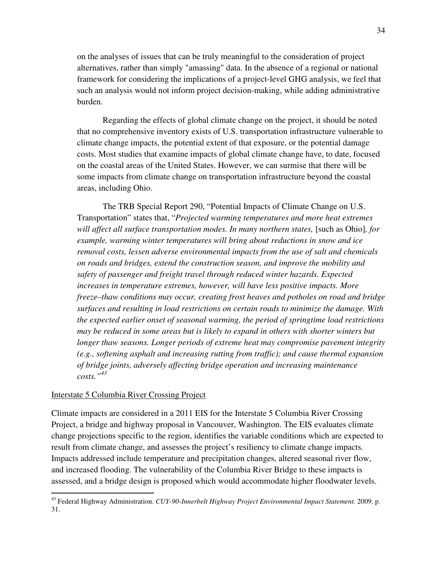on the analyses of issues that can be truly meaningful to the consideration of project alternatives, rather than simply "amassing" data. In the absence of a regional or national framework for considering the implications of a project-level GHG analysis, we feel that such an analysis would not inform project decision-making, while adding administrative burden.

Regarding the effects of global climate change on the project, it should be noted that no comprehensive inventory exists of U.S. transportation infrastructure vulnerable to climate change impacts, the potential extent of that exposure, or the potential damage costs. Most studies that examine impacts of global climate change have, to date, focused on the coastal areas of the United States. However, we can surmise that there will be some impacts from climate change on transportation infrastructure beyond the coastal areas, including Ohio.

The TRB Special Report 290, "Potential Impacts of Climate Change on U.S. Transportation" states that, "*Projected warming temperatures and more heat extremes*  will affect all surface transportation modes. In many northern states, [such as Ohio], for *example, warming winter temperatures will bring about reductions in snow and ice removal costs, lessen adverse environmental impacts from the use of salt and chemicals on roads and bridges, extend the construction season, and improve the mobility and safety of passenger and freight travel through reduced winter hazards. Expected increases in temperature extremes, however, will have less positive impacts. More freeze–thaw conditions may occur, creating frost heaves and potholes on road and bridge surfaces and resulting in load restrictions on certain roads to minimize the damage. With the expected earlier onset of seasonal warming, the period of springtime load restrictions may be reduced in some areas but is likely to expand in others with shorter winters but longer thaw seasons. Longer periods of extreme heat may compromise pavement integrity (e.g., softening asphalt and increasing rutting from traffic); and cause thermal expansion of bridge joints, adversely affecting bridge operation and increasing maintenance costs."<sup>43</sup>*

#### Interstate 5 Columbia River Crossing Project

 $\overline{a}$ 

Climate impacts are considered in a 2011 EIS for the Interstate 5 Columbia River Crossing Project, a bridge and highway proposal in Vancouver, Washington. The EIS evaluates climate change projections specific to the region, identifies the variable conditions which are expected to result from climate change, and assesses the project's resiliency to climate change impacts. Impacts addressed include temperature and precipitation changes, altered seasonal river flow, and increased flooding. The vulnerability of the Columbia River Bridge to these impacts is assessed, and a bridge design is proposed which would accommodate higher floodwater levels.

<sup>43</sup> Federal Highway Administration. *CUY-90-Innerbelt Highway Project Environmental Impact Statement.* 2009. p. 31.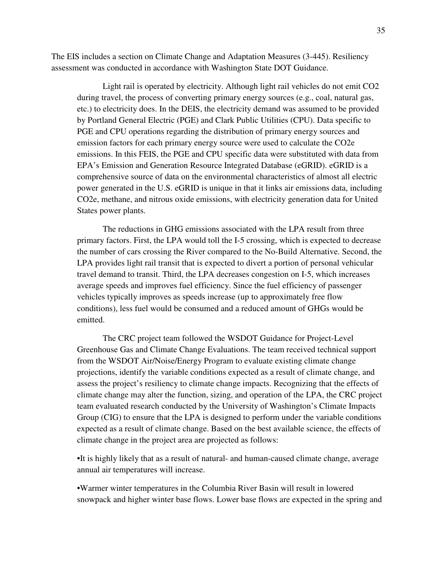The EIS includes a section on Climate Change and Adaptation Measures (3-445). Resiliency assessment was conducted in accordance with Washington State DOT Guidance.

Light rail is operated by electricity. Although light rail vehicles do not emit CO2 during travel, the process of converting primary energy sources (e.g., coal, natural gas, etc.) to electricity does. In the DEIS, the electricity demand was assumed to be provided by Portland General Electric (PGE) and Clark Public Utilities (CPU). Data specific to PGE and CPU operations regarding the distribution of primary energy sources and emission factors for each primary energy source were used to calculate the CO2e emissions. In this FEIS, the PGE and CPU specific data were substituted with data from EPA's Emission and Generation Resource Integrated Database (eGRID). eGRID is a comprehensive source of data on the environmental characteristics of almost all electric power generated in the U.S. eGRID is unique in that it links air emissions data, including CO2e, methane, and nitrous oxide emissions, with electricity generation data for United States power plants.

The reductions in GHG emissions associated with the LPA result from three primary factors. First, the LPA would toll the I-5 crossing, which is expected to decrease the number of cars crossing the River compared to the No-Build Alternative. Second, the LPA provides light rail transit that is expected to divert a portion of personal vehicular travel demand to transit. Third, the LPA decreases congestion on I-5, which increases average speeds and improves fuel efficiency. Since the fuel efficiency of passenger vehicles typically improves as speeds increase (up to approximately free flow conditions), less fuel would be consumed and a reduced amount of GHGs would be emitted.

The CRC project team followed the WSDOT Guidance for Project-Level Greenhouse Gas and Climate Change Evaluations. The team received technical support from the WSDOT Air/Noise/Energy Program to evaluate existing climate change projections, identify the variable conditions expected as a result of climate change, and assess the project's resiliency to climate change impacts. Recognizing that the effects of climate change may alter the function, sizing, and operation of the LPA, the CRC project team evaluated research conducted by the University of Washington's Climate Impacts Group (CIG) to ensure that the LPA is designed to perform under the variable conditions expected as a result of climate change. Based on the best available science, the effects of climate change in the project area are projected as follows:

•It is highly likely that as a result of natural- and human-caused climate change, average annual air temperatures will increase.

•Warmer winter temperatures in the Columbia River Basin will result in lowered snowpack and higher winter base flows. Lower base flows are expected in the spring and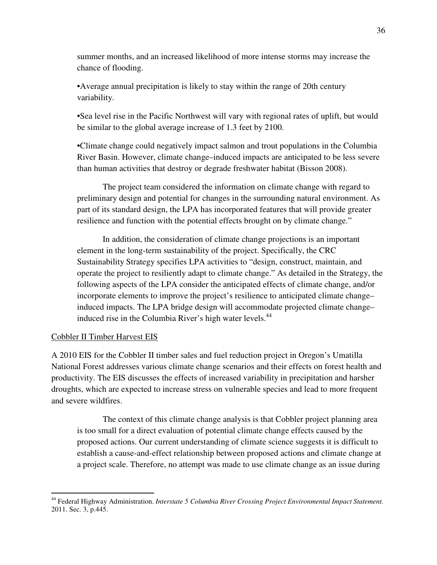summer months, and an increased likelihood of more intense storms may increase the chance of flooding.

•Average annual precipitation is likely to stay within the range of 20th century variability.

•Sea level rise in the Pacific Northwest will vary with regional rates of uplift, but would be similar to the global average increase of 1.3 feet by 2100.

•Climate change could negatively impact salmon and trout populations in the Columbia River Basin. However, climate change–induced impacts are anticipated to be less severe than human activities that destroy or degrade freshwater habitat (Bisson 2008).

The project team considered the information on climate change with regard to preliminary design and potential for changes in the surrounding natural environment. As part of its standard design, the LPA has incorporated features that will provide greater resilience and function with the potential effects brought on by climate change."

In addition, the consideration of climate change projections is an important element in the long-term sustainability of the project. Specifically, the CRC Sustainability Strategy specifies LPA activities to "design, construct, maintain, and operate the project to resiliently adapt to climate change." As detailed in the Strategy, the following aspects of the LPA consider the anticipated effects of climate change, and/or incorporate elements to improve the project's resilience to anticipated climate change– induced impacts. The LPA bridge design will accommodate projected climate change– induced rise in the Columbia River's high water levels.<sup>44</sup>

### Cobbler II Timber Harvest EIS

 $\overline{a}$ 

A 2010 EIS for the Cobbler II timber sales and fuel reduction project in Oregon's Umatilla National Forest addresses various climate change scenarios and their effects on forest health and productivity. The EIS discusses the effects of increased variability in precipitation and harsher droughts, which are expected to increase stress on vulnerable species and lead to more frequent and severe wildfires.

The context of this climate change analysis is that Cobbler project planning area is too small for a direct evaluation of potential climate change effects caused by the proposed actions. Our current understanding of climate science suggests it is difficult to establish a cause-and-effect relationship between proposed actions and climate change at a project scale. Therefore, no attempt was made to use climate change as an issue during

<sup>&</sup>lt;sup>44</sup> Federal Highway Administration. *Interstate 5 Columbia River Crossing Project Environmental Impact Statement*. 2011. Sec. 3, p.445.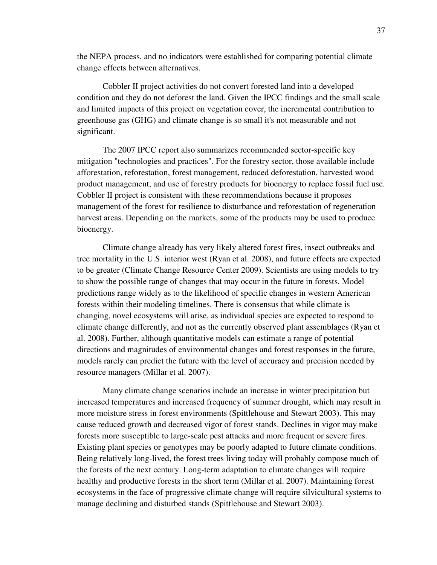the NEPA process, and no indicators were established for comparing potential climate change effects between alternatives.

Cobbler II project activities do not convert forested land into a developed condition and they do not deforest the land. Given the IPCC findings and the small scale and limited impacts of this project on vegetation cover, the incremental contribution to greenhouse gas (GHG) and climate change is so small it's not measurable and not significant.

The 2007 IPCC report also summarizes recommended sector-specific key mitigation "technologies and practices". For the forestry sector, those available include afforestation, reforestation, forest management, reduced deforestation, harvested wood product management, and use of forestry products for bioenergy to replace fossil fuel use. Cobbler II project is consistent with these recommendations because it proposes management of the forest for resilience to disturbance and reforestation of regeneration harvest areas. Depending on the markets, some of the products may be used to produce bioenergy.

Climate change already has very likely altered forest fires, insect outbreaks and tree mortality in the U.S. interior west (Ryan et al. 2008), and future effects are expected to be greater (Climate Change Resource Center 2009). Scientists are using models to try to show the possible range of changes that may occur in the future in forests. Model predictions range widely as to the likelihood of specific changes in western American forests within their modeling timelines. There is consensus that while climate is changing, novel ecosystems will arise, as individual species are expected to respond to climate change differently, and not as the currently observed plant assemblages (Ryan et al. 2008). Further, although quantitative models can estimate a range of potential directions and magnitudes of environmental changes and forest responses in the future, models rarely can predict the future with the level of accuracy and precision needed by resource managers (Millar et al. 2007).

Many climate change scenarios include an increase in winter precipitation but increased temperatures and increased frequency of summer drought, which may result in more moisture stress in forest environments (Spittlehouse and Stewart 2003). This may cause reduced growth and decreased vigor of forest stands. Declines in vigor may make forests more susceptible to large-scale pest attacks and more frequent or severe fires. Existing plant species or genotypes may be poorly adapted to future climate conditions. Being relatively long-lived, the forest trees living today will probably compose much of the forests of the next century. Long-term adaptation to climate changes will require healthy and productive forests in the short term (Millar et al. 2007). Maintaining forest ecosystems in the face of progressive climate change will require silvicultural systems to manage declining and disturbed stands (Spittlehouse and Stewart 2003).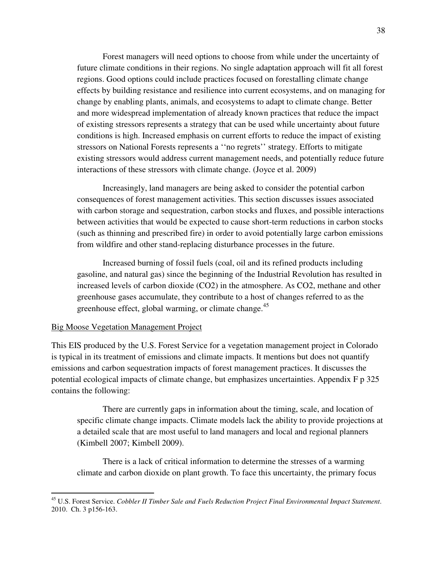Forest managers will need options to choose from while under the uncertainty of future climate conditions in their regions. No single adaptation approach will fit all forest regions. Good options could include practices focused on forestalling climate change effects by building resistance and resilience into current ecosystems, and on managing for change by enabling plants, animals, and ecosystems to adapt to climate change. Better and more widespread implementation of already known practices that reduce the impact of existing stressors represents a strategy that can be used while uncertainty about future conditions is high. Increased emphasis on current efforts to reduce the impact of existing stressors on National Forests represents a ''no regrets'' strategy. Efforts to mitigate existing stressors would address current management needs, and potentially reduce future interactions of these stressors with climate change. (Joyce et al. 2009)

Increasingly, land managers are being asked to consider the potential carbon consequences of forest management activities. This section discusses issues associated with carbon storage and sequestration, carbon stocks and fluxes, and possible interactions between activities that would be expected to cause short-term reductions in carbon stocks (such as thinning and prescribed fire) in order to avoid potentially large carbon emissions from wildfire and other stand-replacing disturbance processes in the future.

Increased burning of fossil fuels (coal, oil and its refined products including gasoline, and natural gas) since the beginning of the Industrial Revolution has resulted in increased levels of carbon dioxide (CO2) in the atmosphere. As CO2, methane and other greenhouse gases accumulate, they contribute to a host of changes referred to as the greenhouse effect, global warming, or climate change.<sup>45</sup>

#### Big Moose Vegetation Management Project

 $\overline{a}$ 

This EIS produced by the U.S. Forest Service for a vegetation management project in Colorado is typical in its treatment of emissions and climate impacts. It mentions but does not quantify emissions and carbon sequestration impacts of forest management practices. It discusses the potential ecological impacts of climate change, but emphasizes uncertainties. Appendix F p 325 contains the following:

There are currently gaps in information about the timing, scale, and location of specific climate change impacts. Climate models lack the ability to provide projections at a detailed scale that are most useful to land managers and local and regional planners (Kimbell 2007; Kimbell 2009).

There is a lack of critical information to determine the stresses of a warming climate and carbon dioxide on plant growth. To face this uncertainty, the primary focus

<sup>45</sup> U.S. Forest Service. *Cobbler II Timber Sale and Fuels Reduction Project Final Environmental Impact Statement*. 2010. Ch. 3 p156-163.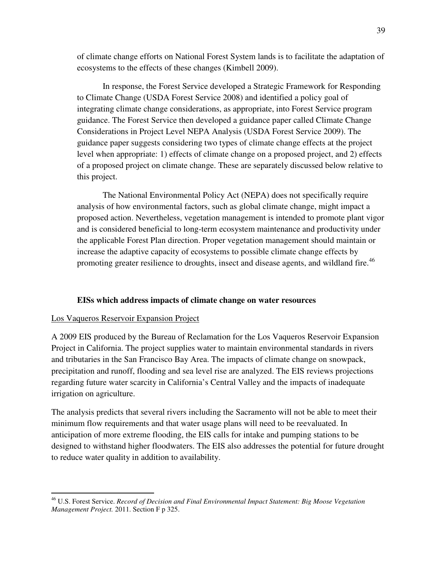of climate change efforts on National Forest System lands is to facilitate the adaptation of ecosystems to the effects of these changes (Kimbell 2009).

In response, the Forest Service developed a Strategic Framework for Responding to Climate Change (USDA Forest Service 2008) and identified a policy goal of integrating climate change considerations, as appropriate, into Forest Service program guidance. The Forest Service then developed a guidance paper called Climate Change Considerations in Project Level NEPA Analysis (USDA Forest Service 2009). The guidance paper suggests considering two types of climate change effects at the project level when appropriate: 1) effects of climate change on a proposed project, and 2) effects of a proposed project on climate change. These are separately discussed below relative to this project.

The National Environmental Policy Act (NEPA) does not specifically require analysis of how environmental factors, such as global climate change, might impact a proposed action. Nevertheless, vegetation management is intended to promote plant vigor and is considered beneficial to long-term ecosystem maintenance and productivity under the applicable Forest Plan direction. Proper vegetation management should maintain or increase the adaptive capacity of ecosystems to possible climate change effects by promoting greater resilience to droughts, insect and disease agents, and wildland fire.<sup>46</sup>

#### **EISs which address impacts of climate change on water resources**

#### Los Vaqueros Reservoir Expansion Project

 $\overline{a}$ 

A 2009 EIS produced by the Bureau of Reclamation for the Los Vaqueros Reservoir Expansion Project in California. The project supplies water to maintain environmental standards in rivers and tributaries in the San Francisco Bay Area. The impacts of climate change on snowpack, precipitation and runoff, flooding and sea level rise are analyzed. The EIS reviews projections regarding future water scarcity in California's Central Valley and the impacts of inadequate irrigation on agriculture.

The analysis predicts that several rivers including the Sacramento will not be able to meet their minimum flow requirements and that water usage plans will need to be reevaluated. In anticipation of more extreme flooding, the EIS calls for intake and pumping stations to be designed to withstand higher floodwaters. The EIS also addresses the potential for future drought to reduce water quality in addition to availability.

<sup>46</sup> U.S. Forest Service. *Record of Decision and Final Environmental Impact Statement: Big Moose Vegetation Management Project.* 2011. Section F p 325.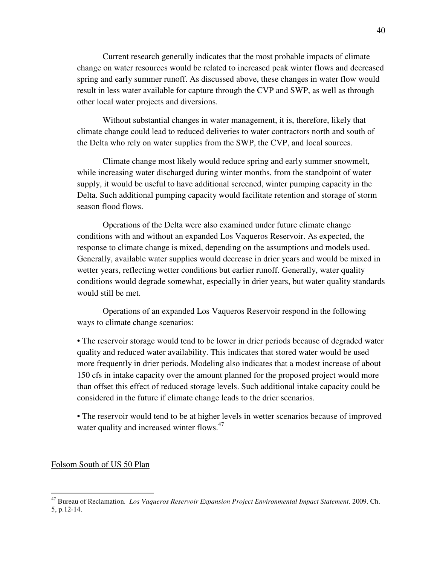Current research generally indicates that the most probable impacts of climate change on water resources would be related to increased peak winter flows and decreased spring and early summer runoff. As discussed above, these changes in water flow would result in less water available for capture through the CVP and SWP, as well as through other local water projects and diversions.

Without substantial changes in water management, it is, therefore, likely that climate change could lead to reduced deliveries to water contractors north and south of the Delta who rely on water supplies from the SWP, the CVP, and local sources.

Climate change most likely would reduce spring and early summer snowmelt, while increasing water discharged during winter months, from the standpoint of water supply, it would be useful to have additional screened, winter pumping capacity in the Delta. Such additional pumping capacity would facilitate retention and storage of storm season flood flows.

 Operations of the Delta were also examined under future climate change conditions with and without an expanded Los Vaqueros Reservoir. As expected, the response to climate change is mixed, depending on the assumptions and models used. Generally, available water supplies would decrease in drier years and would be mixed in wetter years, reflecting wetter conditions but earlier runoff. Generally, water quality conditions would degrade somewhat, especially in drier years, but water quality standards would still be met.

Operations of an expanded Los Vaqueros Reservoir respond in the following ways to climate change scenarios:

• The reservoir storage would tend to be lower in drier periods because of degraded water quality and reduced water availability. This indicates that stored water would be used more frequently in drier periods. Modeling also indicates that a modest increase of about 150 cfs in intake capacity over the amount planned for the proposed project would more than offset this effect of reduced storage levels. Such additional intake capacity could be considered in the future if climate change leads to the drier scenarios.

• The reservoir would tend to be at higher levels in wetter scenarios because of improved water quality and increased winter flows.<sup>47</sup>

Folsom South of US 50 Plan

<sup>47</sup> Bureau of Reclamation. *Los Vaqueros Reservoir Expansion Project Environmental Impact Statement*. 2009. Ch. 5, p.12-14.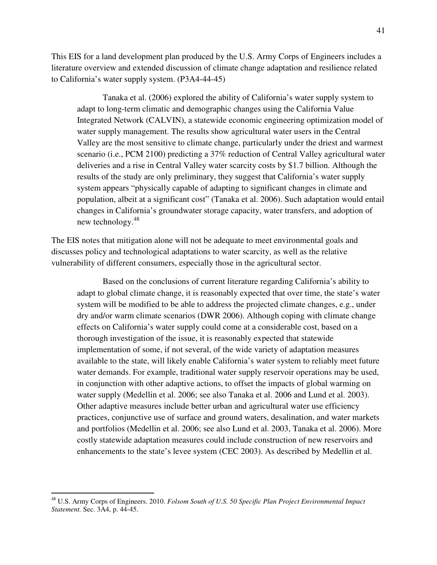This EIS for a land development plan produced by the U.S. Army Corps of Engineers includes a literature overview and extended discussion of climate change adaptation and resilience related to California's water supply system. (P3A4-44-45)

Tanaka et al. (2006) explored the ability of California's water supply system to adapt to long-term climatic and demographic changes using the California Value Integrated Network (CALVIN), a statewide economic engineering optimization model of water supply management. The results show agricultural water users in the Central Valley are the most sensitive to climate change, particularly under the driest and warmest scenario (i.e., PCM 2100) predicting a 37% reduction of Central Valley agricultural water deliveries and a rise in Central Valley water scarcity costs by \$1.7 billion. Although the results of the study are only preliminary, they suggest that California's water supply system appears "physically capable of adapting to significant changes in climate and population, albeit at a significant cost" (Tanaka et al. 2006). Such adaptation would entail changes in California's groundwater storage capacity, water transfers, and adoption of new technology.<sup>48</sup>

The EIS notes that mitigation alone will not be adequate to meet environmental goals and discusses policy and technological adaptations to water scarcity, as well as the relative vulnerability of different consumers, especially those in the agricultural sector.

Based on the conclusions of current literature regarding California's ability to adapt to global climate change, it is reasonably expected that over time, the state's water system will be modified to be able to address the projected climate changes, e.g., under dry and/or warm climate scenarios (DWR 2006). Although coping with climate change effects on California's water supply could come at a considerable cost, based on a thorough investigation of the issue, it is reasonably expected that statewide implementation of some, if not several, of the wide variety of adaptation measures available to the state, will likely enable California's water system to reliably meet future water demands. For example, traditional water supply reservoir operations may be used, in conjunction with other adaptive actions, to offset the impacts of global warming on water supply (Medellin et al. 2006; see also Tanaka et al. 2006 and Lund et al. 2003). Other adaptive measures include better urban and agricultural water use efficiency practices, conjunctive use of surface and ground waters, desalination, and water markets and portfolios (Medellin et al. 2006; see also Lund et al. 2003, Tanaka et al. 2006). More costly statewide adaptation measures could include construction of new reservoirs and enhancements to the state's levee system (CEC 2003). As described by Medellin et al.

<sup>48</sup> U.S. Army Corps of Engineers. 2010. *Folsom South of U.S. 50 Specific Plan Project Environmental Impact Statement.* Sec. 3A4, p. 44-45.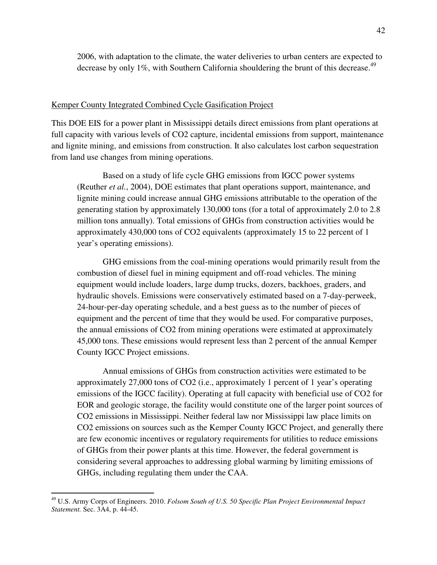2006, with adaptation to the climate, the water deliveries to urban centers are expected to decrease by only 1%, with Southern California shouldering the brunt of this decrease.<sup>49</sup>

#### Kemper County Integrated Combined Cycle Gasification Project

This DOE EIS for a power plant in Mississippi details direct emissions from plant operations at full capacity with various levels of CO2 capture, incidental emissions from support, maintenance and lignite mining, and emissions from construction. It also calculates lost carbon sequestration from land use changes from mining operations.

 Based on a study of life cycle GHG emissions from IGCC power systems (Reuther *et al.*, 2004), DOE estimates that plant operations support, maintenance, and lignite mining could increase annual GHG emissions attributable to the operation of the generating station by approximately 130,000 tons (for a total of approximately 2.0 to 2.8 million tons annually). Total emissions of GHGs from construction activities would be approximately 430,000 tons of CO2 equivalents (approximately 15 to 22 percent of 1 year's operating emissions).

 GHG emissions from the coal-mining operations would primarily result from the combustion of diesel fuel in mining equipment and off-road vehicles. The mining equipment would include loaders, large dump trucks, dozers, backhoes, graders, and hydraulic shovels. Emissions were conservatively estimated based on a 7-day-perweek, 24-hour-per-day operating schedule, and a best guess as to the number of pieces of equipment and the percent of time that they would be used. For comparative purposes, the annual emissions of CO2 from mining operations were estimated at approximately 45,000 tons. These emissions would represent less than 2 percent of the annual Kemper County IGCC Project emissions.

Annual emissions of GHGs from construction activities were estimated to be approximately 27,000 tons of CO2 (i.e., approximately 1 percent of 1 year's operating emissions of the IGCC facility). Operating at full capacity with beneficial use of CO2 for EOR and geologic storage, the facility would constitute one of the larger point sources of CO2 emissions in Mississippi. Neither federal law nor Mississippi law place limits on CO2 emissions on sources such as the Kemper County IGCC Project, and generally there are few economic incentives or regulatory requirements for utilities to reduce emissions of GHGs from their power plants at this time. However, the federal government is considering several approaches to addressing global warming by limiting emissions of GHGs, including regulating them under the CAA.

<sup>49</sup> U.S. Army Corps of Engineers. 2010. *Folsom South of U.S. 50 Specific Plan Project Environmental Impact Statement.* Sec. 3A4, p. 44-45.